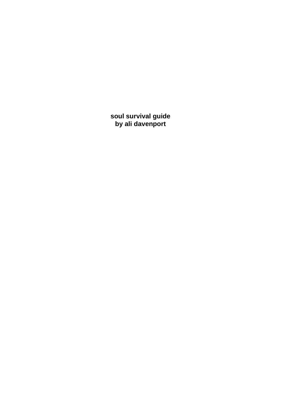**soul survival guide by ali davenport**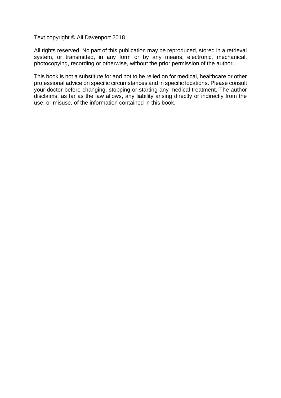Text copyright © Ali Davenport 2018

All rights reserved. No part of this publication may be reproduced, stored in a retrieval system, or transmitted, in any form or by any means, electronic, mechanical, photocopying, recording or otherwise, without the prior permission of the author.

This book is not a substitute for and not to be relied on for medical, healthcare or other professional advice on specific circumstances and in specific locations. Please consult your doctor before changing, stopping or starting any medical treatment. The author disclaims, as far as the law allows, any liability arising directly or indirectly from the use, or misuse, of the information contained in this book.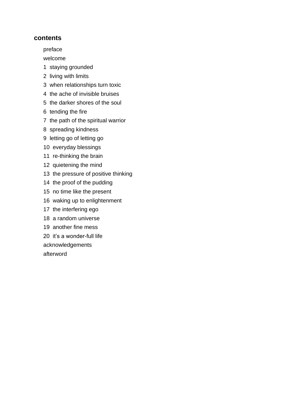#### **contents**

[preface](#page-3-0)

[welcome](#page-4-0)

- [1 staying grounded](#page-5-0)
- [2 living with limits](#page-8-0)
- [3 when relationships turn toxic](#page-11-0)
- [4 the ache of invisible bruises](#page-13-0)
- [5 the darker shores of the soul](#page-15-0)
- [6 tending the fire](#page-20-0)
- [7 the path of the spiritual warrior](#page-25-0)
- [8 spreading kindness](#page-28-0)
- [9 letting go of letting go](#page-31-0)
- [10 everyday blessings](#page-33-0)
- [11 re-thinking the brain](#page-36-0)
- [12 quietening the mind](#page-39-0)
- [13 the pressure of positive thinking](#page-44-0)
- [14 the proof of the pudding](#page-46-0)
- [15 no time like the present](#page-48-0)
- [16 waking up to enlightenment](#page-51-0)
- [17 the interfering ego](#page-54-0)
- [18 a random universe](#page-56-0)
- [19 another fine mess](#page-60-0)
- [20 it's a wonder-full life](#page-62-0)

[acknowledgements](#page-64-0)

[afterword](#page-65-0)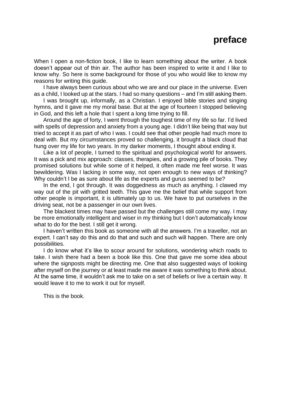# **preface**

<span id="page-3-0"></span>When I open a non-fiction book, I like to learn something about the writer. A book doesn't appear out of thin air. The author has been inspired to write it and I like to know why. So here is some background for those of you who would like to know my reasons for writing this guide.

I have always been curious about who we are and our place in the universe. Even as a child, I looked up at the stars. I had so many questions – and I'm still asking them.

I was brought up, informally, as a Christian. I enjoyed bible stories and singing hymns, and it gave me my moral base. But at the age of fourteen I stopped believing in God, and this left a hole that I spent a long time trying to fill.

Around the age of forty, I went through the toughest time of my life so far. I'd lived with spells of depression and anxiety from a young age. I didn't like being that way but tried to accept it as part of who I was. I could see that other people had much more to deal with. But my circumstances proved so challenging, it brought a black cloud that hung over my life for two years. In my darker moments, I thought about ending it.

Like a lot of people, I turned to the spiritual and psychological world for answers. It was a pick and mix approach: classes, therapies, and a growing pile of books. They promised solutions but while some of it helped, it often made me feel worse. It was bewildering. Was I lacking in some way, not open enough to new ways of thinking? Why couldn't I be as sure about life as the experts and gurus seemed to be?

In the end, I got through. It was doggedness as much as anything. I clawed my way out of the pit with gritted teeth. This gave me the belief that while support from other people is important, it is ultimately up to us. We have to put ourselves in the driving seat, not be a passenger in our own lives.

The blackest times may have passed but the challenges still come my way. I may be more emotionally intelligent and wiser in my thinking but I don't automatically know what to do for the best. I still get it wrong.

I haven't written this book as someone with all the answers. I'm a traveller, not an expert. I can't say do this and do that and such and such will happen. There are only possibilities.

I do know what it's like to scour around for solutions, wondering which roads to take. I wish there had a been a book like this. One that gave me some idea about where the signposts might be directing me. One that also suggested ways of looking after myself on the journey or at least made me aware it was something to think about. At the same time, it wouldn't ask me to take on a set of beliefs or live a certain way. It would leave it to me to work it out for myself.

This is the book.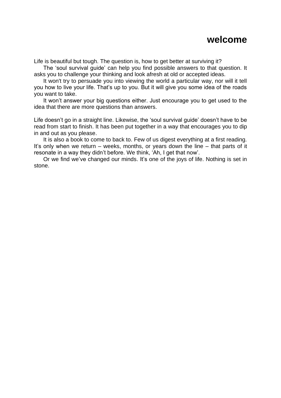# **welcome**

<span id="page-4-0"></span>Life is beautiful but tough. The question is, how to get better at surviving it?

The 'soul survival guide' can help you find possible answers to that question. It asks you to challenge your thinking and look afresh at old or accepted ideas.

It won't try to persuade you into viewing the world a particular way, nor will it tell you how to live your life. That's up to you. But it will give you some idea of the roads you want to take.

It won't answer your big questions either. Just encourage you to get used to the idea that there are more questions than answers.

Life doesn't go in a straight line. Likewise, the 'soul survival guide' doesn't have to be read from start to finish. It has been put together in a way that encourages you to dip in and out as you please.

It is also a book to come to back to. Few of us digest everything at a first reading. It's only when we return – weeks, months, or years down the line – that parts of it resonate in a way they didn't before. We think, 'Ah, I get that now'.

Or we find we've changed our minds. It's one of the joys of life. Nothing is set in stone.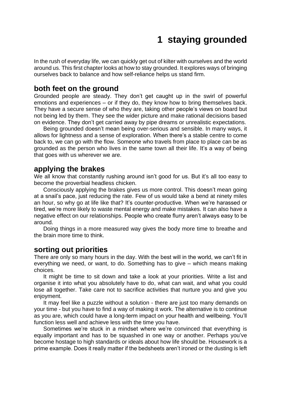# **1 staying grounded**

<span id="page-5-0"></span>In the rush of everyday life, we can quickly get out of kilter with ourselves and the world around us. This first chapter looks at how to stay grounded. It explores ways of bringing ourselves back to balance and how self-reliance helps us stand firm.

# **both feet on the ground**

Grounded people are steady. They don't get caught up in the swirl of powerful emotions and experiences – or if they do, they know how to bring themselves back. They have a secure sense of who they are, taking other people's views on board but not being led by them. They see the wider picture and make rational decisions based on evidence. They don't get carried away by pipe dreams or unrealistic expectations.

Being grounded doesn't mean being over-serious and sensible. In many ways, it allows for lightness and a sense of exploration. When there's a stable centre to come back to, we can go with the flow. Someone who travels from place to place can be as grounded as the person who lives in the same town all their life. It's a way of being that goes with us wherever we are.

# **applying the brakes**

We all know that constantly rushing around isn't good for us. But it's all too easy to become the proverbial headless chicken.

Consciously applying the brakes gives us more control. This doesn't mean going at a snail's pace, just reducing the rate. Few of us would take a bend at ninety miles an hour, so why go at life like that? It's counter-productive. When we're harassed or tired, we're more likely to waste mental energy and make mistakes. It can also have a negative effect on our relationships. People who create flurry aren't always easy to be around.

Doing things in a more measured way gives the body more time to breathe and the brain more time to think.

## **sorting out priorities**

There are only so many hours in the day. With the best will in the world, we can't fit in everything we need, or want, to do. Something has to give – which means making choices.

It might be time to sit down and take a look at your priorities. Write a list and organise it into what you absolutely have to do, what can wait, and what you could lose all together. Take care not to sacrifice activities that nurture you and give you enjoyment.

It may feel like a puzzle without a solution - there are just too many demands on your time - but you have to find a way of making it work. The alternative is to continue as you are, which could have a long-term impact on your health and wellbeing. You'll function less well and achieve less with the time you have.

Sometimes we're stuck in a mindset where we're convinced that everything is equally important and has to be squashed in one way or another. Perhaps you've become hostage to high standards or ideals about how life should be. Housework is a prime example. Does it really matter if the bedsheets aren't ironed or the dusting is left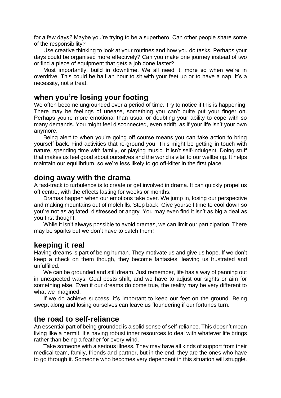for a few days? Maybe you're trying to be a superhero. Can other people share some of the responsibility?

Use creative thinking to look at your routines and how you do tasks. Perhaps your days could be organised more effectively? Can you make one journey instead of two or find a piece of equipment that gets a job done faster?

Most importantly, build in downtime. We all need it, more so when we're in overdrive. This could be half an hour to sit with your feet up or to have a nap. It's a necessity, not a treat.

# **when you're losing your footing**

We often become ungrounded over a period of time. Try to notice if this is happening. There may be feelings of unease, something you can't quite put your finger on. Perhaps you're more emotional than usual or doubting your ability to cope with so many demands. You might feel disconnected, even adrift, as if your life isn't your own anymore.

Being alert to when you're going off course means you can take action to bring yourself back. Find activities that re-ground you. This might be getting in touch with nature, spending time with family, or playing music. It isn't self-indulgent. Doing stuff that makes us feel good about ourselves and the world is vital to our wellbeing. It helps maintain our equilibrium, so we're less likely to go off-kilter in the first place.

# **doing away with the drama**

A fast-track to turbulence is to create or get involved in drama. It can quickly propel us off centre, with the effects lasting for weeks or months.

Dramas happen when our emotions take over. We jump in, losing our perspective and making mountains out of molehills. Step back. Give yourself time to cool down so you're not as agitated, distressed or angry. You may even find it isn't as big a deal as you first thought.

While it isn't always possible to avoid dramas, we can limit our participation. There may be sparks but we don't have to catch them!

# **keeping it real**

Having dreams is part of being human. They motivate us and give us hope. If we don't keep a check on them though, they become fantasies, leaving us frustrated and unfulfilled.

We can be grounded and still dream. Just remember, life has a way of panning out in unexpected ways. Goal posts shift, and we have to adjust our sights or aim for something else. Even if our dreams do come true, the reality may be very different to what we imagined.

If we do achieve success, it's important to keep our feet on the ground. Being swept along and losing ourselves can leave us floundering if our fortunes turn.

# **the road to self-reliance**

An essential part of being grounded is a solid sense of self-reliance. This doesn't mean living like a hermit. It's having robust inner resources to deal with whatever life brings rather than being a feather for every wind.

Take someone with a serious illness. They may have all kinds of support from their medical team, family, friends and partner, but in the end, they are the ones who have to go through it. Someone who becomes very dependent in this situation will struggle.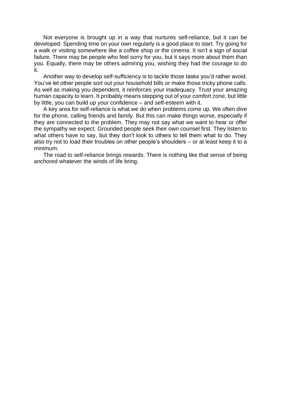Not everyone is brought up in a way that nurtures self-reliance, but it can be developed. Spending time on your own regularly is a good place to start. Try going for a walk or visiting somewhere like a coffee shop or the cinema. It isn't a sign of social failure. There may be people who feel sorry for you, but it says more about them than you. Equally, there may be others admiring you, wishing they had the courage to do it.

Another way to develop self-sufficiency is to tackle those tasks you'd rather avoid. You've let other people sort out your household bills or make those tricky phone calls. As well as making you dependent, it reinforces your inadequacy. Trust your amazing human capacity to learn. It probably means stepping out of your comfort zone, but little by little, you can build up your confidence – and self-esteem with it.

A key area for self-reliance is what we do when problems come up. We often dive for the phone, calling friends and family. But this can make things worse, especially if they are connected to the problem. They may not say what we want to hear or offer the sympathy we expect. Grounded people seek their own counsel first. They listen to what others have to say, but they don't look to others to tell them what to do. They also try not to load their troubles on other people's shoulders – or at least keep it to a minimum.

The road to self-reliance brings rewards. There is nothing like that sense of being anchored whatever the winds of life bring.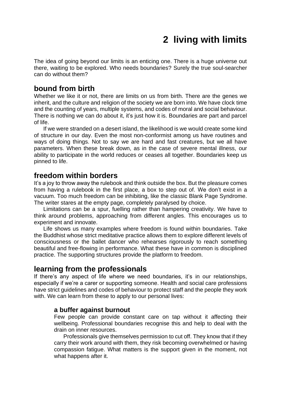# **2 living with limits**

<span id="page-8-0"></span>The idea of going beyond our limits is an enticing one. There is a huge universe out there, waiting to be explored. Who needs boundaries? Surely the true soul-searcher can do without them?

# **bound from birth**

Whether we like it or not, there are limits on us from birth. There are the genes we inherit, and the culture and religion of the society we are born into. We have clock time and the counting of years, multiple systems, and codes of moral and social behaviour. There is nothing we can do about it, it's just how it is. Boundaries are part and parcel of life.

If we were stranded on a desert island, the likelihood is we would create some kind of structure in our day. Even the most non-conformist among us have routines and ways of doing things. Not to say we are hard and fast creatures, but we all have parameters. When these break down, as in the case of severe mental illness, our ability to participate in the world reduces or ceases all together. Boundaries keep us pinned to life.

## **freedom within borders**

It's a joy to throw away the rulebook and think outside the box. But the pleasure comes from having a rulebook in the first place, a box to step out of. We don't exist in a vacuum. Too much freedom can be inhibiting, like the classic Blank Page Syndrome. The writer stares at the empty page, completely paralysed by choice.

Limitations can be a spur, fuelling rather than hampering creativity. We have to think around problems, approaching from different angles. This encourages us to experiment and innovate.

Life shows us many examples where freedom is found within boundaries. Take the Buddhist whose strict meditative practice allows them to explore different levels of consciousness or the ballet dancer who rehearses rigorously to reach something beautiful and free-flowing in performance. What these have in common is disciplined practice. The supporting structures provide the platform to freedom.

## **learning from the professionals**

If there's any aspect of life where we need boundaries, it's in our relationships, especially if we're a carer or supporting someone. Health and social care professions have strict guidelines and codes of behaviour to protect staff and the people they work with. We can learn from these to apply to our personal lives:

#### **a buffer against burnout**

Few people can provide constant care on tap without it affecting their wellbeing. Professional boundaries recognise this and help to deal with the drain on inner resources.

Professionals give themselves permission to cut off. They know that if they carry their work around with them, they risk becoming overwhelmed or having compassion fatigue. What matters is the support given in the moment, not what happens after it.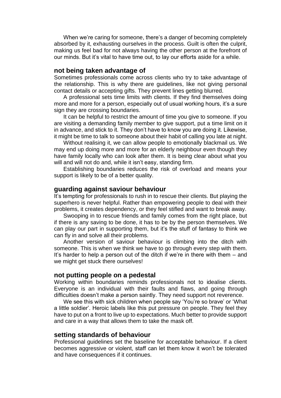When we're caring for someone, there's a danger of becoming completely absorbed by it, exhausting ourselves in the process. Guilt is often the culprit, making us feel bad for not always having the other person at the forefront of our minds. But it's vital to have time out, to lay our efforts aside for a while.

#### **not being taken advantage of**

Sometimes professionals come across clients who try to take advantage of the relationship. This is why there are guidelines, like not giving personal contact details or accepting gifts. They prevent lines getting blurred.

A professional sets time limits with clients. If they find themselves doing more and more for a person, especially out of usual working hours, it's a sure sign they are crossing boundaries.

It can be helpful to restrict the amount of time you give to someone. If you are visiting a demanding family member to give support, put a time limit on it in advance, and stick to it. They don't have to know you are doing it. Likewise, it might be time to talk to someone about their habit of calling you late at night.

Without realising it, we can allow people to emotionally blackmail us. We may end up doing more and more for an elderly neighbour even though they have family locally who can look after them. It is being clear about what you will and will not do and, while it isn't easy, standing firm.

Establishing boundaries reduces the risk of overload and means your support is likely to be of a better quality.

#### **guarding against saviour behaviour**

It's tempting for professionals to rush in to rescue their clients. But playing the superhero is never helpful. Rather than empowering people to deal with their problems, it creates dependency, or they feel stifled and want to break away.

Swooping in to rescue friends and family comes from the right place, but if there is any saving to be done, it has to be by the person themselves. We can play our part in supporting them, but it's the stuff of fantasy to think we can fly in and solve all their problems.

Another version of saviour behaviour is climbing into the ditch with someone. This is when we think we have to go through every step with them. It's harder to help a person out of the ditch if we're in there with them – and we might get stuck there ourselves!

#### **not putting people on a pedestal**

Working within boundaries reminds professionals not to idealise clients. Everyone is an individual with their faults and flaws, and going through difficulties doesn't make a person saintly. They need support not reverence.

We see this with sick children when people say 'You're so brave' or 'What a little soldier'. Heroic labels like this put pressure on people. They feel they have to put on a front to live up to expectations. Much better to provide support and care in a way that allows them to take the mask off.

#### **setting standards of behaviour**

Professional guidelines set the baseline for acceptable behaviour. If a client becomes aggressive or violent, staff can let them know it won't be tolerated and have consequences if it continues.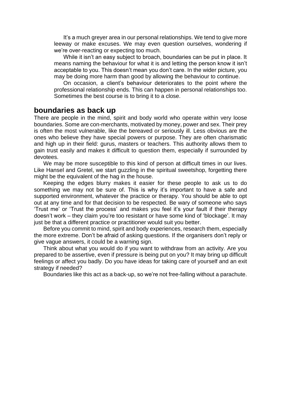It's a much greyer area in our personal relationships. We tend to give more leeway or make excuses. We may even question ourselves, wondering if we're over-reacting or expecting too much.

While it isn't an easy subject to broach, boundaries can be put in place. It means naming the behaviour for what it is and letting the person know it isn't acceptable to you. This doesn't mean you don't care. In the wider picture, you may be doing more harm than good by allowing the behaviour to continue.

On occasion, a client's behaviour deteriorates to the point where the professional relationship ends. This can happen in personal relationships too. Sometimes the best course is to bring it to a close.

#### **boundaries as back up**

There are people in the mind, spirit and body world who operate within very loose boundaries. Some are con-merchants, motivated by money, power and sex. Their prey is often the most vulnerable, like the bereaved or seriously ill. Less obvious are the ones who believe they have special powers or purpose. They are often charismatic and high up in their field: gurus, masters or teachers. This authority allows them to gain trust easily and makes it difficult to question them, especially if surrounded by devotees.

We may be more susceptible to this kind of person at difficult times in our lives. Like Hansel and Gretel, we start guzzling in the spiritual sweetshop, forgetting there might be the equivalent of the hag in the house.

Keeping the edges blurry makes it easier for these people to ask us to do something we may not be sure of. This is why it's important to have a safe and supported environment, whatever the practice or therapy. You should be able to opt out at any time and for that decision to be respected. Be wary of someone who says 'Trust me' or 'Trust the process' and makes you feel it's your fault if their therapy doesn't work – they claim you're too resistant or have some kind of 'blockage'. It may just be that a different practice or practitioner would suit you better.

Before you commit to mind, spirit and body experiences, research them, especially the more extreme. Don't be afraid of asking questions. If the organisers don't reply or give vague answers, it could be a warning sign.

Think about what you would do if you want to withdraw from an activity. Are you prepared to be assertive, even if pressure is being put on you? It may bring up difficult feelings or affect you badly. Do you have ideas for taking care of yourself and an exit strategy if needed?

Boundaries like this act as a back-up, so we're not free-falling without a parachute.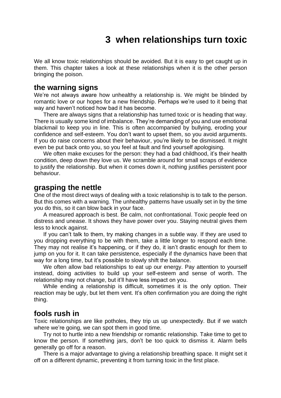# **3 when relationships turn toxic**

<span id="page-11-0"></span>We all know toxic relationships should be avoided. But it is easy to get caught up in them. This chapter takes a look at these relationships when it is the other person bringing the poison.

### **the warning signs**

We're not always aware how unhealthy a relationship is. We might be blinded by romantic love or our hopes for a new friendship. Perhaps we're used to it being that way and haven't noticed how bad it has become.

There are always signs that a relationship has turned toxic or is heading that way. There is usually some kind of imbalance. They're demanding of you and use emotional blackmail to keep you in line. This is often accompanied by bullying, eroding your confidence and self-esteem. You don't want to upset them, so you avoid arguments. If you do raise concerns about their behaviour, you're likely to be dismissed. It might even be put back onto you, so you feel at fault and find yourself apologising.

We often make excuses for the person: they had a bad childhood, it's their health condition, deep down they love us. We scramble around for small scraps of evidence to justify the relationship. But when it comes down it, nothing justifies persistent poor behaviour.

### **grasping the nettle**

One of the most direct ways of dealing with a toxic relationship is to talk to the person. But this comes with a warning. The unhealthy patterns have usually set in by the time you do this, so it can blow back in your face.

A measured approach is best. Be calm, not confrontational. Toxic people feed on distress and unease. It shows they have power over you. Staying neutral gives them less to knock against.

If you can't talk to them, try making changes in a subtle way. If they are used to you dropping everything to be with them, take a little longer to respond each time. They may not realise it's happening, or if they do, it isn't drastic enough for them to jump on you for it. It can take persistence, especially if the dynamics have been that way for a long time, but it's possible to slowly shift the balance.

We often allow bad relationships to eat up our energy. Pay attention to yourself instead, doing activities to build up your self-esteem and sense of worth. The relationship may not change, but it'll have less impact on you.

While ending a relationship is difficult, sometimes it is the only option. Their reaction may be ugly, but let them vent. It's often confirmation you are doing the right thing.

## **fools rush in**

Toxic relationships are like potholes, they trip us up unexpectedly. But if we watch where we're going, we can spot them in good time.

Try not to hurtle into a new friendship or romantic relationship. Take time to get to know the person. If something jars, don't be too quick to dismiss it. Alarm bells generally go off for a reason.

There is a major advantage to giving a relationship breathing space. It might set it off on a different dynamic, preventing it from turning toxic in the first place.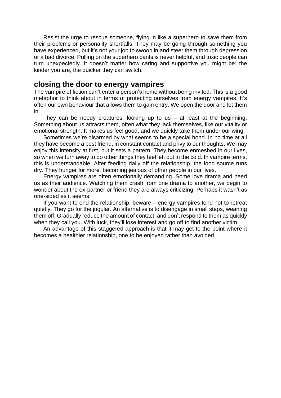Resist the urge to rescue someone, flying in like a superhero to save them from their problems or personality shortfalls. They may be going through something you have experienced, but it's not your job to swoop in and steer them through depression or a bad divorce. Pulling on the superhero pants is never helpful, and toxic people can turn unexpectedly. It doesn't matter how caring and supportive you might be; the kinder you are, the quicker they can switch.

### **closing the door to energy vampires**

The vampire of fiction can't enter a person's home without being invited. This is a good metaphor to think about in terms of protecting ourselves from energy vampires. It's often our own behaviour that allows them to gain entry. We open the door and let them in.

They can be needy creatures, looking up to us  $-$  at least at the beginning. Something about us attracts them, often what they lack themselves, like our vitality or emotional strength. It makes us feel good, and we quickly take them under our wing.

Sometimes we're disarmed by what seems to be a special bond. In no time at all they have become a best friend, in constant contact and privy to our thoughts. We may enjoy this intensity at first, but it sets a pattern. They become enmeshed in our lives, so when we turn away to do other things they feel left out in the cold. In vampire terms, this is understandable. After feeding daily off the relationship, the food source runs dry. They hunger for more, becoming jealous of other people in our lives.

Energy vampires are often emotionally demanding. Some love drama and need us as their audience. Watching them crash from one drama to another, we begin to wonder about the ex-partner or friend they are always criticizing. Perhaps it wasn't as one-sided as it seems.

If you want to end the relationship, beware – energy vampires tend not to retreat quietly. They go for the jugular. An alternative is to disengage in small steps, weaning them off. Gradually reduce the amount of contact, and don't respond to them as quickly when they call you. With luck, they'll lose interest and go off to find another victim.

An advantage of this staggered approach is that it may get to the point where it becomes a healthier relationship, one to be enjoyed rather than avoided.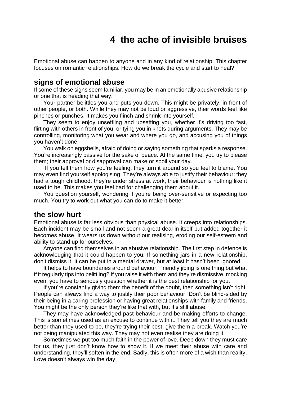# **4 the ache of invisible bruises**

<span id="page-13-0"></span>Emotional abuse can happen to anyone and in any kind of relationship. This chapter focuses on romantic relationships. How do we break the cycle and start to heal?

### **signs of emotional abuse**

If some of these signs seem familiar, you may be in an emotionally abusive relationship or one that is heading that way.

Your partner belittles you and puts you down. This might be privately, in front of other people, or both. While they may not be loud or aggressive, their words feel like pinches or punches. It makes you flinch and shrink into yourself.

They seem to enjoy unsettling and upsetting you, whether it's driving too fast, flirting with others in front of you, or tying you in knots during arguments. They may be controlling, monitoring what you wear and where you go, and accusing you of things you haven't done.

You walk on eggshells, afraid of doing or saying something that sparks a response. You're increasingly passive for the sake of peace. At the same time, you try to please them; their approval or disapproval can make or spoil your day.

If you tell them how you're feeling, they turn it around so you feel to blame. You may even find yourself apologising. They're always able to justify their behaviour: they had a tough childhood, they're under stress at work, their behaviour is nothing like it used to be. This makes you feel bad for challenging them about it.

You question yourself, wondering if you're being over-sensitive or expecting too much. You try to work out what you can do to make it better.

### **the slow hurt**

Emotional abuse is far less obvious than physical abuse. It creeps into relationships. Each incident may be small and not seem a great deal in itself but added together it becomes abuse. It wears us down without our realising, eroding our self-esteem and ability to stand up for ourselves.

Anyone can find themselves in an abusive relationship. The first step in defence is acknowledging that it could happen to you. If something jars in a new relationship, don't dismiss it. It can be put in a mental drawer, but at least it hasn't been ignored.

It helps to have boundaries around behaviour. Friendly jibing is one thing but what if it regularly tips into belittling? If you raise it with them and they're dismissive, mocking even, you have to seriously question whether it is the best relationship for you.

If you're constantly giving them the benefit of the doubt, then something isn't right. People can always find a way to justify their poor behaviour. Don't be blind-sided by their being in a caring profession or having great relationships with family and friends. You might be the only person they're like that with, but it's still abuse.

They may have acknowledged past behaviour and be making efforts to change. This is sometimes used as an excuse to continue with it. They tell you they are much better than they used to be, they're trying their best, give them a break. Watch you're not being manipulated this way. They may not even realise they are doing it.

Sometimes we put too much faith in the power of love. Deep down they must care for us, they just don't know how to show it. If we meet their abuse with care and understanding, they'll soften in the end. Sadly, this is often more of a wish than reality. Love doesn't always win the day.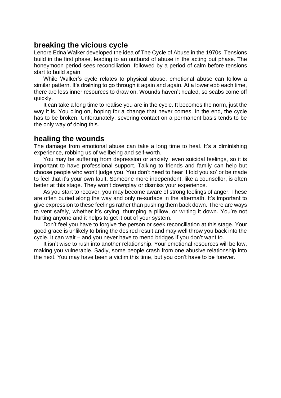# **breaking the vicious cycle**

Lenore Edna Walker developed the idea of The Cycle of Abuse in the 1970s. Tensions build in the first phase, leading to an outburst of abuse in the acting out phase. The honeymoon period sees reconciliation, followed by a period of calm before tensions start to build again.

While Walker's cycle relates to physical abuse, emotional abuse can follow a similar pattern. It's draining to go through it again and again. At a lower ebb each time, there are less inner resources to draw on. Wounds haven't healed, so scabs come off quickly.

It can take a long time to realise you are in the cycle. It becomes the norm, just the way it is. You cling on, hoping for a change that never comes. In the end, the cycle has to be broken. Unfortunately, severing contact on a permanent basis tends to be the only way of doing this.

# **healing the wounds**

The damage from emotional abuse can take a long time to heal. It's a diminishing experience, robbing us of wellbeing and self-worth.

You may be suffering from depression or anxiety, even suicidal feelings, so it is important to have professional support. Talking to friends and family can help but choose people who won't judge you. You don't need to hear 'I told you so' or be made to feel that it's your own fault. Someone more independent, like a counsellor, is often better at this stage. They won't downplay or dismiss your experience.

As you start to recover, you may become aware of strong feelings of anger. These are often buried along the way and only re-surface in the aftermath. It's important to give expression to these feelings rather than pushing them back down. There are ways to vent safely, whether it's crying, thumping a pillow, or writing it down. You're not hurting anyone and it helps to get it out of your system.

Don't feel you have to forgive the person or seek reconciliation at this stage. Your good grace is unlikely to bring the desired result and may well throw you back into the cycle. It can wait – and you never have to mend bridges if you don't want to.

It isn't wise to rush into another relationship. Your emotional resources will be low, making you vulnerable. Sadly, some people crash from one abusive relationship into the next. You may have been a victim this time, but you don't have to be forever.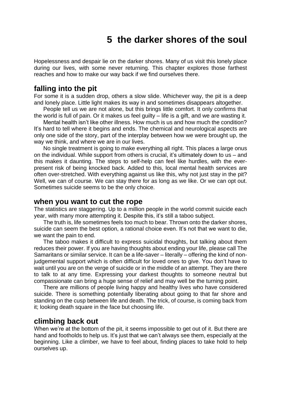# **5 the darker shores of the soul**

<span id="page-15-0"></span>Hopelessness and despair lie on the darker shores. Many of us visit this lonely place during our lives, with some never returning. This chapter explores those farthest reaches and how to make our way back if we find ourselves there.

# **falling into the pit**

For some it is a sudden drop, others a slow slide. Whichever way, the pit is a deep and lonely place. Little light makes its way in and sometimes disappears altogether.

People tell us we are not alone, but this brings little comfort. It only confirms that the world is full of pain. Or it makes us feel guilty – life is a gift, and we are wasting it.

Mental health isn't like other illness. How much is us and how much the condition? It's hard to tell where it begins and ends. The chemical and neurological aspects are only one side of the story, part of the interplay between how we were brought up, the way we think, and where we are in our lives.

No single treatment is going to make everything all right. This places a large onus on the individual. While support from others is crucial, it's ultimately down to us – and this makes it daunting. The steps to self-help can feel like hurdles, with the everpresent risk of being knocked back. Added to this, local mental health services are often over-stretched. With everything against us like this, why not just stay in the pit? Well, we can of course. We can stay there for as long as we like. Or we can opt out. Sometimes suicide seems to be the only choice.

#### **when you want to cut the rope**

The statistics are staggering. Up to a million people in the world commit suicide each year, with many more attempting it. Despite this, it's still a taboo subject.

The truth is, life sometimes feels too much to bear. Thrown onto the darker shores, suicide can seem the best option, a rational choice even. It's not that we want to die, we want the pain to end.

The taboo makes it difficult to express suicidal thoughts, but talking about them reduces their power. If you are having thoughts about ending your life, please call The Samaritans or similar service. It can be a life-saver – literally – offering the kind of nonjudgemental support which is often difficult for loved ones to give. You don't have to wait until you are on the verge of suicide or in the middle of an attempt. They are there to talk to at any time. Expressing your darkest thoughts to someone neutral but compassionate can bring a huge sense of relief and may well be the turning point.

There are millions of people living happy and healthy lives who have considered suicide. There is something potentially liberating about going to that far shore and standing on the cusp between life and death. The trick, of course, is coming back from it; looking death square in the face but choosing life.

### **climbing back out**

When we're at the bottom of the pit, it seems impossible to get out of it. But there are hand and footholds to help us. It's just that we can't always see them, especially at the beginning. Like a climber, we have to feel about, finding places to take hold to help ourselves up.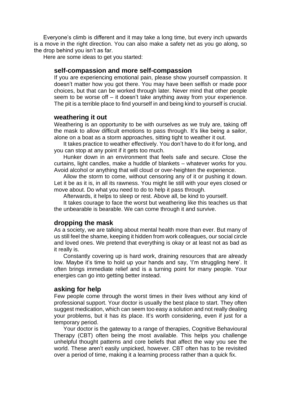Everyone's climb is different and it may take a long time, but every inch upwards is a move in the right direction. You can also make a safety net as you go along, so the drop behind you isn't as far.

Here are some ideas to get you started:

#### **self-compassion and more self-compassion**

If you are experiencing emotional pain, please show yourself compassion. It doesn't matter how you got there. You may have been selfish or made poor choices, but that can be worked through later. Never mind that other people seem to be worse off – it doesn't take anything away from your experience. The pit is a terrible place to find yourself in and being kind to yourself is crucial.

#### **weathering it out**

Weathering is an opportunity to be with ourselves as we truly are, taking off the mask to allow difficult emotions to pass through. It's like being a sailor, alone on a boat as a storm approaches, sitting tight to weather it out.

It takes practice to weather effectively. You don't have to do it for long, and you can stop at any point if it gets too much.

Hunker down in an environment that feels safe and secure. Close the curtains, light candles, make a huddle of blankets – whatever works for you. Avoid alcohol or anything that will cloud or over-heighten the experience.

Allow the storm to come, without censoring any of it or pushing it down. Let it be as it is, in all its rawness. You might lie still with your eyes closed or move about. Do what you need to do to help it pass through.

Afterwards, it helps to sleep or rest. Above all, be kind to yourself.

It takes courage to face the worst but weathering like this teaches us that the unbearable is bearable. We can come through it and survive.

#### **dropping the mask**

As a society, we are talking about mental health more than ever. But many of us still feel the shame, keeping it hidden from work colleagues, our social circle and loved ones. We pretend that everything is okay or at least not as bad as it really is.

Constantly covering up is hard work, draining resources that are already low. Maybe it's time to hold up your hands and say, 'I'm struggling here'. It often brings immediate relief and is a turning point for many people. Your energies can go into getting better instead.

#### **asking for help**

Few people come through the worst times in their lives without any kind of professional support. Your doctor is usually the best place to start. They often suggest medication, which can seem too easy a solution and not really dealing your problems, but it has its place. It's worth considering, even if just for a temporary period.

Your doctor is the gateway to a range of therapies, Cognitive Behavioural Therapy (CBT) often being the most available. This helps you challenge unhelpful thought patterns and core beliefs that affect the way you see the world. These aren't easily unpicked, however. CBT often has to be revisited over a period of time, making it a learning process rather than a quick fix.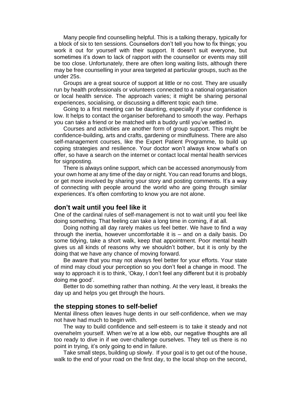Many people find counselling helpful. This is a talking therapy, typically for a block of six to ten sessions. Counsellors don't tell you how to fix things; you work it out for yourself with their support. It doesn't suit everyone, but sometimes it's down to lack of rapport with the counsellor or events may still be too close. Unfortunately, there are often long waiting lists, although there may be free counselling in your area targeted at particular groups, such as the under 25s.

Groups are a great source of support at little or no cost. They are usually run by health professionals or volunteers connected to a national organisation or local health service. The approach varies; it might be sharing personal experiences, socialising, or discussing a different topic each time.

Going to a first meeting can be daunting, especially if your confidence is low. It helps to contact the organiser beforehand to smooth the way. Perhaps you can take a friend or be matched with a buddy until you've settled in.

Courses and activities are another form of group support. This might be confidence-building, arts and crafts, gardening or mindfulness. There are also self-management courses, like the Expert Patient Programme, to build up coping strategies and resilience. Your doctor won't always know what's on offer, so have a search on the internet or contact local mental health services for signposting.

There is always online support, which can be accessed anonymously from your own home at any time of the day or night. You can read forums and blogs, or get more involved by sharing your story and posting comments. It's a way of connecting with people around the world who are going through similar experiences. It's often comforting to know you are not alone.

#### **don't wait until you feel like it**

One of the cardinal rules of self-management is not to wait until you feel like doing something. That feeling can take a long time in coming, if at all.

Doing nothing all day rarely makes us feel better. We have to find a way through the inertia, however uncomfortable it is – and on a daily basis. Do some tidying, take a short walk, keep that appointment. Poor mental health gives us all kinds of reasons why we shouldn't bother, but it is only by the doing that we have any chance of moving forward.

Be aware that you may not always feel better for your efforts. Your state of mind may cloud your perception so you don't feel a change in mood. The way to approach it is to think, 'Okay, I don't feel any different but it is probably doing me good'.

Better to do something rather than nothing. At the very least, it breaks the day up and helps you get through the hours.

#### **the stepping stones to self-belief**

Mental illness often leaves huge dents in our self-confidence, when we may not have had much to begin with.

The way to build confidence and self-esteem is to take it steady and not overwhelm yourself. When we're at a low ebb, our negative thoughts are all too ready to dive in if we over-challenge ourselves. They tell us there is no point in trying, it's only going to end in failure.

Take small steps, building up slowly. If your goal is to get out of the house, walk to the end of your road on the first day, to the local shop on the second,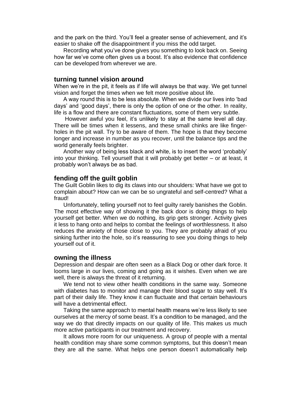and the park on the third. You'll feel a greater sense of achievement, and it's easier to shake off the disappointment if you miss the odd target.

Recording what you've done gives you something to look back on. Seeing how far we've come often gives us a boost. It's also evidence that confidence can be developed from wherever we are.

#### **turning tunnel vision around**

When we're in the pit, it feels as if life will always be that way. We get tunnel vision and forget the times when we felt more positive about life.

A way round this is to be less absolute. When we divide our lives into 'bad days' and 'good days', there is only the option of one or the other. In reality, life is a flow and there are constant fluctuations, some of them very subtle.

However awful you feel, it's unlikely to stay at the same level all day. There will be times when it lessens, and these small chinks are like fingerholes in the pit wall. Try to be aware of them. The hope is that they become longer and increase in number as you recover, until the balance tips and the world generally feels brighter.

Another way of being less black and white, is to insert the word 'probably' into your thinking. Tell yourself that it will probably get better – or at least, it probably won't always be as bad.

#### **fending off the guilt goblin**

The Guilt Goblin likes to dig its claws into our shoulders: What have we got to complain about? How can we can be so ungrateful and self-centred? What a fraud!

Unfortunately, telling yourself not to feel guilty rarely banishes the Goblin. The most effective way of showing it the back door is doing things to help yourself get better. When we do nothing, its grip gets stronger. Activity gives it less to hang onto and helps to combat the feelings of worthlessness. It also reduces the anxiety of those close to you. They are probably afraid of you sinking further into the hole, so it's reassuring to see you doing things to help yourself out of it.

#### **owning the illness**

Depression and despair are often seen as a Black Dog or other dark force. It looms large in our lives, coming and going as it wishes. Even when we are well, there is always the threat of it returning.

We tend not to view other health conditions in the same way. Someone with diabetes has to monitor and manage their blood sugar to stay well. It's part of their daily life. They know it can fluctuate and that certain behaviours will have a detrimental effect.

Taking the same approach to mental health means we're less likely to see ourselves at the mercy of some beast. It's a condition to be managed, and the way we do that directly impacts on our quality of life. This makes us much more active participants in our treatment and recovery.

It allows more room for our uniqueness. A group of people with a mental health condition may share some common symptoms, but this doesn't mean they are all the same. What helps one person doesn't automatically help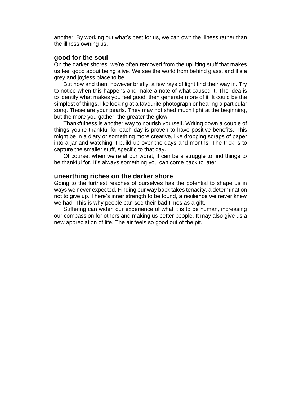another. By working out what's best for us, we can own the illness rather than the illness owning us.

#### **good for the soul**

On the darker shores, we're often removed from the uplifting stuff that makes us feel good about being alive. We see the world from behind glass, and it's a grey and joyless place to be.

But now and then, however briefly, a few rays of light find their way in. Try to notice when this happens and make a note of what caused it. The idea is to identify what makes you feel good, then generate more of it. It could be the simplest of things, like looking at a favourite photograph or hearing a particular song. These are your pearls. They may not shed much light at the beginning, but the more you gather, the greater the glow.

Thankfulness is another way to nourish yourself. Writing down a couple of things you're thankful for each day is proven to have positive benefits. This might be in a diary or something more creative, like dropping scraps of paper into a jar and watching it build up over the days and months. The trick is to capture the smaller stuff, specific to that day.

Of course, when we're at our worst, it can be a struggle to find things to be thankful for. It's always something you can come back to later.

#### **unearthing riches on the darker shore**

Going to the furthest reaches of ourselves has the potential to shape us in ways we never expected. Finding our way back takes tenacity, a determination not to give up. There's inner strength to be found, a resilience we never knew we had. This is why people can see their bad times as a gift.

Suffering can widen our experience of what it is to be human, increasing our compassion for others and making us better people. It may also give us a new appreciation of life. The air feels so good out of the pit.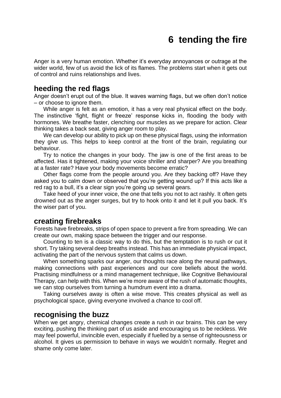# **6 tending the fire**

<span id="page-20-0"></span>Anger is a very human emotion. Whether it's everyday annoyances or outrage at the wider world, few of us avoid the lick of its flames. The problems start when it gets out of control and ruins relationships and lives.

# **heeding the red flags**

Anger doesn't erupt out of the blue. It waves warning flags, but we often don't notice – or choose to ignore them.

While anger is felt as an emotion, it has a very real physical effect on the body. The instinctive 'fight, flight or freeze' response kicks in, flooding the body with hormones. We breathe faster, clenching our muscles as we prepare for action. Clear thinking takes a back seat, giving anger room to play.

We can develop our ability to pick up on these physical flags, using the information they give us. This helps to keep control at the front of the brain, regulating our behaviour.

Try to notice the changes in your body. The jaw is one of the first areas to be affected. Has it tightened, making your voice shriller and sharper? Are you breathing at a faster rate? Have your body movements become erratic?

Other flags come from the people around you. Are they backing off? Have they asked you to calm down or observed that you're getting wound up? If this acts like a red rag to a bull, it's a clear sign you're going up several gears.

Take heed of your inner voice, the one that tells you not to act rashly. It often gets drowned out as the anger surges, but try to hook onto it and let it pull you back. It's the wiser part of you.

## **creating firebreaks**

Forests have firebreaks, strips of open space to prevent a fire from spreading. We can create our own, making space between the trigger and our response.

Counting to ten is a classic way to do this, but the temptation is to rush or cut it short. Try taking several deep breaths instead. This has an immediate physical impact, activating the part of the nervous system that calms us down.

When something sparks our anger, our thoughts race along the neural pathways, making connections with past experiences and our core beliefs about the world. Practising mindfulness or a mind management technique, like Cognitive Behavioural Therapy, can help with this. When we're more aware of the rush of automatic thoughts, we can stop ourselves from turning a humdrum event into a drama.

Taking ourselves away is often a wise move. This creates physical as well as psychological space, giving everyone involved a chance to cool off.

#### **recognising the buzz**

When we get angry, chemical changes create a rush in our brains. This can be very exciting, pushing the thinking part of us aside and encouraging us to be reckless. We may feel powerful, invincible even, especially if fuelled by a sense of righteousness or alcohol. It gives us permission to behave in ways we wouldn't normally. Regret and shame only come later.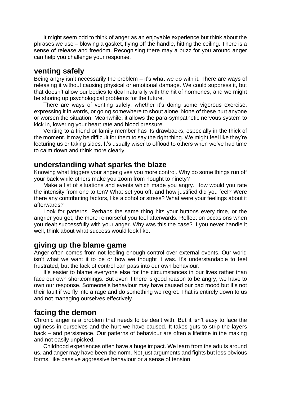It might seem odd to think of anger as an enjoyable experience but think about the phrases we use – blowing a gasket, flying off the handle, hitting the ceiling. There is a sense of release and freedom. Recognising there may a buzz for you around anger can help you challenge your response.

# **venting safely**

Being angry isn't necessarily the problem – it's what we do with it. There are ways of releasing it without causing physical or emotional damage. We could suppress it, but that doesn't allow our bodies to deal naturally with the hit of hormones, and we might be shoring up psychological problems for the future.

There are ways of venting safely, whether it's doing some vigorous exercise, expressing it in words, or going somewhere to shout alone. None of these hurt anyone or worsen the situation. Meanwhile, it allows the para-sympathetic nervous system to kick in, lowering your heart rate and blood pressure.

Venting to a friend or family member has its drawbacks, especially in the thick of the moment. It may be difficult for them to say the right thing. We might feel like they're lecturing us or taking sides. It's usually wiser to offload to others when we've had time to calm down and think more clearly.

#### **understanding what sparks the blaze**

Knowing what triggers your anger gives you more control. Why do some things run off your back while others make you zoom from nought to ninety?

Make a list of situations and events which made you angry. How would you rate the intensity from one to ten? What set you off, and how justified did you feel? Were there any contributing factors, like alcohol or stress? What were your feelings about it afterwards?

Look for patterns. Perhaps the same thing hits your buttons every time, or the angrier you get, the more remorseful you feel afterwards. Reflect on occasions when you dealt successfully with your anger. Why was this the case? If you never handle it well, think about what success would look like.

# **giving up the blame game**

Anger often comes from not feeling enough control over external events. Our world isn't what we want it to be or how we thought it was. It's understandable to feel frustrated, but the lack of control can pass into our own behaviour.

It's easier to blame everyone else for the circumstances in our lives rather than face our own shortcomings. But even if there is good reason to be angry, we have to own our response. Someone's behaviour may have caused our bad mood but it's not their fault if we fly into a rage and do something we regret. That is entirely down to us and not managing ourselves effectively.

## **facing the demon**

Chronic anger is a problem that needs to be dealt with. But it isn't easy to face the ugliness in ourselves and the hurt we have caused. It takes guts to strip the layers back – and persistence. Our patterns of behaviour are often a lifetime in the making and not easily unpicked.

Childhood experiences often have a huge impact. We learn from the adults around us, and anger may have been the norm. Not just arguments and fights but less obvious forms, like passive aggressive behaviour or a sense of tension.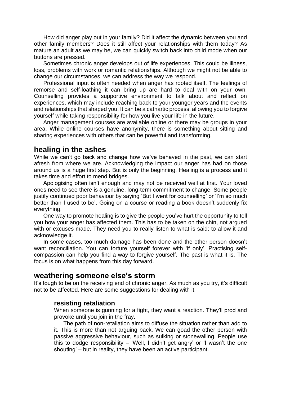How did anger play out in your family? Did it affect the dynamic between you and other family members? Does it still affect your relationships with them today? As mature an adult as we may be, we can quickly switch back into child mode when our buttons are pressed.

Sometimes chronic anger develops out of life experiences. This could be illness, loss, problems with work or romantic relationships. Although we might not be able to change our circumstances, we can address the way we respond.

Professional input is often needed when anger has rooted itself. The feelings of remorse and self-loathing it can bring up are hard to deal with on your own. Counselling provides a supportive environment to talk about and reflect on experiences, which may include reaching back to your younger years and the events and relationships that shaped you. It can be a cathartic process, allowing you to forgive yourself while taking responsibility for how you live your life in the future.

Anger management courses are available online or there may be groups in your area. While online courses have anonymity, there is something about sitting and sharing experiences with others that can be powerful and transforming.

### **healing in the ashes**

While we can't go back and change how we've behaved in the past, we can start afresh from where we are. Acknowledging the impact our anger has had on those around us is a huge first step. But is only the beginning. Healing is a process and it takes time and effort to mend bridges.

Apologising often isn't enough and may not be received well at first. Your loved ones need to see there is a genuine, long-term commitment to change. Some people justify continued poor behaviour by saying 'But I went for counselling' or 'I'm so much better than I used to be'. Going on a course or reading a book doesn't suddenly fix everything.

One way to promote healing is to give the people you've hurt the opportunity to tell you how your anger has affected them. This has to be taken on the chin, not argued with or excuses made. They need you to really listen to what is said; to allow it and acknowledge it.

In some cases, too much damage has been done and the other person doesn't want reconciliation. You can torture yourself forever with 'if only'. Practising selfcompassion can help you find a way to forgive yourself. The past is what it is. The focus is on what happens from this day forward.

# **weathering someone else's storm**

It's tough to be on the receiving end of chronic anger. As much as you try, it's difficult not to be affected. Here are some suggestions for dealing with it:

#### **resisting retaliation**

When someone is gunning for a fight, they want a reaction. They'll prod and provoke until you join in the fray.

The path of non-retaliation aims to diffuse the situation rather than add to it. This is more than not arguing back. We can goad the other person with passive aggressive behaviour, such as sulking or stonewalling. People use this to dodge responsibility – 'Well, I didn't get angry' or 'I wasn't the one shouting' – but in reality, they have been an active participant.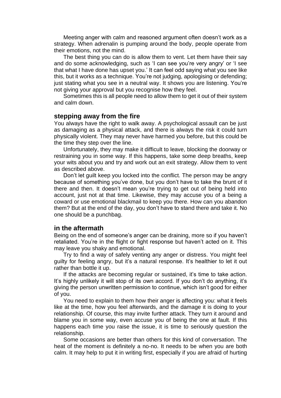Meeting anger with calm and reasoned argument often doesn't work as a strategy. When adrenalin is pumping around the body, people operate from their emotions, not the mind.

The best thing you can do is allow them to vent. Let them have their say and do some acknowledging, such as 'I can see you're very angry' or 'I see that what I have done has upset you.' It can feel odd saying what you see like this, but it works as a technique. You're not judging, apologising or defending; just stating what you see in a neutral way. It shows you are listening. You're not giving your approval but you recognise how they feel.

Sometimes this is all people need to allow them to get it out of their system and calm down.

#### **stepping away from the fire**

You always have the right to walk away. A psychological assault can be just as damaging as a physical attack, and there is always the risk it could turn physically violent. They may never have harmed you before, but this could be the time they step over the line.

Unfortunately, they may make it difficult to leave, blocking the doorway or restraining you in some way. If this happens, take some deep breaths, keep your wits about you and try and work out an exit strategy. Allow them to vent as described above.

Don't let guilt keep you locked into the conflict. The person may be angry because of something you've done, but you don't have to take the brunt of it there and then. It doesn't mean you're trying to get out of being held into account, just not at that time. Likewise, they may accuse you of a being a coward or use emotional blackmail to keep you there. How can you abandon them? But at the end of the day, you don't have to stand there and take it. No one should be a punchbag.

#### **in the aftermath**

Being on the end of someone's anger can be draining, more so if you haven't retaliated. You're in the flight or fight response but haven't acted on it. This may leave you shaky and emotional.

Try to find a way of safely venting any anger or distress. You might feel guilty for feeling angry, but it's a natural response. It's healthier to let it out rather than bottle it up.

If the attacks are becoming regular or sustained, it's time to take action. It's highly unlikely it will stop of its own accord. If you don't do anything, it's giving the person unwritten permission to continue, which isn't good for either of you.

You need to explain to them how their anger is affecting you: what it feels like at the time, how you feel afterwards, and the damage it is doing to your relationship. Of course, this may invite further attack. They turn it around and blame you in some way, even accuse you of being the one at fault. If this happens each time you raise the issue, it is time to seriously question the relationship.

Some occasions are better than others for this kind of conversation. The heat of the moment is definitely a no-no. It needs to be when you are both calm. It may help to put it in writing first, especially if you are afraid of hurting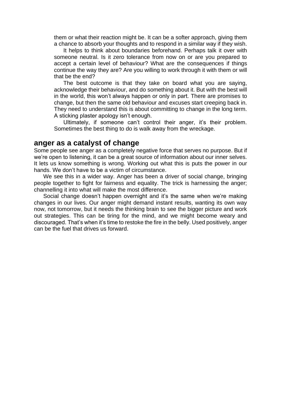them or what their reaction might be. It can be a softer approach, giving them a chance to absorb your thoughts and to respond in a similar way if they wish.

It helps to think about boundaries beforehand. Perhaps talk it over with someone neutral. Is it zero tolerance from now on or are you prepared to accept a certain level of behaviour? What are the consequences if things continue the way they are? Are you willing to work through it with them or will that be the end?

The best outcome is that they take on board what you are saying, acknowledge their behaviour, and do something about it. But with the best will in the world, this won't always happen or only in part. There are promises to change, but then the same old behaviour and excuses start creeping back in. They need to understand this is about committing to change in the long term. A sticking plaster apology isn't enough.

Ultimately, if someone can't control their anger, it's their problem. Sometimes the best thing to do is walk away from the wreckage.

#### **anger as a catalyst of change**

Some people see anger as a completely negative force that serves no purpose. But if we're open to listening, it can be a great source of information about our inner selves. It lets us know something is wrong. Working out what this is puts the power in our hands. We don't have to be a victim of circumstance.

We see this in a wider way. Anger has been a driver of social change, bringing people together to fight for fairness and equality. The trick is harnessing the anger; channelling it into what will make the most difference.

Social change doesn't happen overnight and it's the same when we're making changes in our lives. Our anger might demand instant results, wanting its own way now, not tomorrow, but it needs the thinking brain to see the bigger picture and work out strategies. This can be tiring for the mind, and we might become weary and discouraged. That's when it's time to restoke the fire in the belly. Used positively, anger can be the fuel that drives us forward.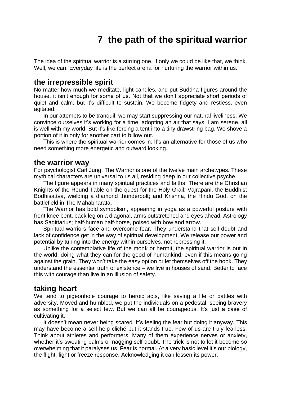# **7 the path of the spiritual warrior**

<span id="page-25-0"></span>The idea of the spiritual warrior is a stirring one. If only we could be like that, we think. Well, we can. Everyday life is the perfect arena for nurturing the warrior within us.

### **the irrepressible spirit**

No matter how much we meditate, light candles, and put Buddha figures around the house, it isn't enough for some of us. Not that we don't appreciate short periods of quiet and calm, but it's difficult to sustain. We become fidgety and restless, even agitated.

In our attempts to be tranquil, we may start suppressing our natural liveliness. We convince ourselves it's working for a time, adopting an air that says, I am serene, all is well with my world. But it's like forcing a tent into a tiny drawstring bag. We shove a portion of it in only for another part to billow out.

This is where the spiritual warrior comes in. It's an alternative for those of us who need something more energetic and outward looking.

#### **the warrior way**

For psychologist Carl Jung, The Warrior is one of the twelve main archetypes. These mythical characters are universal to us all, residing deep in our collective psyche.

The figure appears in many spiritual practices and faiths. There are the Christian Knights of the Round Table on the quest for the Holy Grail; Vajrapani, the Buddhist Bodhisattva, wielding a diamond thunderbolt; and Krishna, the Hindu God, on the battlefield in The Mahabharata.

The Warrior has bold symbolism, appearing in yoga as a powerful posture with front knee bent, back leg on a diagonal, arms outstretched and eyes ahead. Astrology has Sagittarius; half-human half-horse, poised with bow and arrow.

Spiritual warriors face and overcome fear. They understand that self-doubt and lack of confidence get in the way of spiritual development. We release our power and potential by tuning into the energy within ourselves, not repressing it.

Unlike the contemplative life of the monk or hermit, the spiritual warrior is out in the world, doing what they can for the good of humankind, even if this means going against the grain. They won't take the easy option or let themselves off the hook. They understand the essential truth of existence – we live in houses of sand. Better to face this with courage than live in an illusion of safety.

#### **taking heart**

We tend to pigeonhole courage to heroic acts, like saving a life or battles with adversity. Moved and humbled, we put the individuals on a pedestal, seeing bravery as something for a select few. But we can all be courageous. It's just a case of cultivating it.

It doesn't mean never being scared. It's feeling the fear but doing it anyway. This may have become a self-help cliché but it stands true. Few of us are truly fearless. Think about athletes and performers. Many of them experience nerves or anxiety, whether it's sweating palms or nagging self-doubt. The trick is not to let it become so overwhelming that it paralyses us. Fear is normal. At a very basic level it's our biology, the flight, fight or freeze response. Acknowledging it can lessen its power.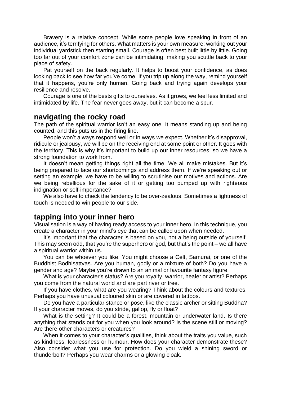Bravery is a relative concept. While some people love speaking in front of an audience, it's terrifying for others. What matters is your own measure; working out your individual yardstick then starting small. Courage is often best built little by little. Going too far out of your comfort zone can be intimidating, making you scuttle back to your place of safety.

Pat yourself on the back regularly. It helps to boost your confidence, as does looking back to see how far you've come. If you trip up along the way, remind yourself that it happens, you're only human. Going back and trying again develops your resilience and resolve.

Courage is one of the bests gifts to ourselves. As it grows, we feel less limited and intimidated by life. The fear never goes away, but it can become a spur.

### **navigating the rocky road**

The path of the spiritual warrior isn't an easy one. It means standing up and being counted, and this puts us in the firing line.

People won't always respond well or in ways we expect. Whether it's disapproval, ridicule or jealousy, we will be on the receiving end at some point or other. It goes with the territory. This is why it's important to build up our inner resources, so we have a strong foundation to work from.

It doesn't mean getting things right all the time. We all make mistakes. But it's being prepared to face our shortcomings and address them. If we're speaking out or setting an example, we have to be willing to scrutinise our motives and actions. Are we being rebellious for the sake of it or getting too pumped up with righteous indignation or self-importance?

We also have to check the tendency to be over-zealous. Sometimes a lightness of touch is needed to win people to our side.

## **tapping into your inner hero**

Visualisation is a way of having ready access to your inner hero. In this technique, you create a character in your mind's eye that can be called upon when needed.

It's important that the character is based on you, not a being outside of yourself. This may seem odd, that you're the superhero or god, but that's the point – we all have a spiritual warrior within us.

You can be whoever you like. You might choose a Celt, Samurai, or one of the Buddhist Bodhisattvas. Are you human, godly or a mixture of both? Do you have a gender and age? Maybe you're drawn to an animal or favourite fantasy figure.

What is your character's status? Are you royalty, warrior, healer or artist? Perhaps you come from the natural world and are part river or tree.

If you have clothes, what are you wearing? Think about the colours and textures. Perhaps you have unusual coloured skin or are covered in tattoos.

Do you have a particular stance or pose, like the classic archer or sitting Buddha? If your character moves, do you stride, gallop, fly or float?

What is the setting? It could be a forest, mountain or underwater land. Is there anything that stands out for you when you look around? Is the scene still or moving? Are there other characters or creatures?

When it comes to your character's qualities, think about the traits you value, such as kindness, fearlessness or humour. How does your character demonstrate these? Also consider what you use for protection. Do you wield a shining sword or thunderbolt? Perhaps you wear charms or a glowing cloak.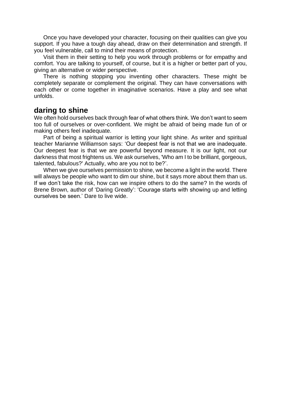Once you have developed your character, focusing on their qualities can give you support. If you have a tough day ahead, draw on their determination and strength. If you feel vulnerable, call to mind their means of protection.

Visit them in their setting to help you work through problems or for empathy and comfort. You are talking to yourself, of course, but it is a higher or better part of you, giving an alternative or wider perspective.

There is nothing stopping you inventing other characters. These might be completely separate or complement the original. They can have conversations with each other or come together in imaginative scenarios. Have a play and see what unfolds.

# **daring to shine**

We often hold ourselves back through fear of what others think. We don't want to seem too full of ourselves or over-confident. We might be afraid of being made fun of or making others feel inadequate.

Part of being a spiritual warrior is letting your light shine. As writer and spiritual teacher Marianne Williamson says: 'Our deepest fear is not that we are inadequate. Our deepest fear is that we are powerful beyond measure. It is our light, not our darkness that most frightens us. We ask ourselves, 'Who am I to be brilliant, gorgeous, talented, fabulous?' Actually, who are you not to be?'.

When we give ourselves permission to shine, we become a light in the world. There will always be people who want to dim our shine, but it says more about them than us. If we don't take the risk, how can we inspire others to do the same? In the words of Brene Brown, author of 'Daring Greatly': 'Courage starts with showing up and letting ourselves be seen.' Dare to live wide.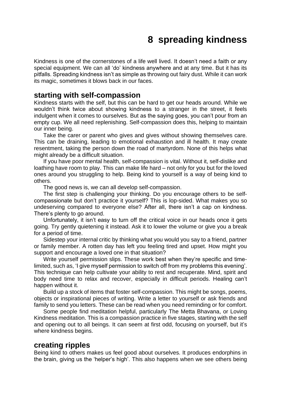# **8 spreading kindness**

<span id="page-28-0"></span>Kindness is one of the cornerstones of a life well lived. It doesn't need a faith or any special equipment. We can all 'do' kindness anywhere and at any time. But it has its pitfalls. Spreading kindness isn't as simple as throwing out fairy dust. While it can work its magic, sometimes it blows back in our faces.

### **starting with self-compassion**

Kindness starts with the self, but this can be hard to get our heads around. While we wouldn't think twice about showing kindness to a stranger in the street, it feels indulgent when it comes to ourselves. But as the saying goes, you can't pour from an empty cup. We all need replenishing. Self-compassion does this, helping to maintain our inner being.

Take the carer or parent who gives and gives without showing themselves care. This can be draining, leading to emotional exhaustion and ill health. It may create resentment, taking the person down the road of martyrdom. None of this helps what might already be a difficult situation.

If you have poor mental health, self-compassion is vital. Without it, self-dislike and loathing have room to play. This can make life hard – not only for you but for the loved ones around you struggling to help. Being kind to yourself is a way of being kind to others.

The good news is, we can all develop self-compassion.

The first step is challenging your thinking. Do you encourage others to be selfcompassionate but don't practice it yourself? This is lop-sided. What makes you so undeserving compared to everyone else? After all, there isn't a cap on kindness. There's plenty to go around.

Unfortunately, it isn't easy to turn off the critical voice in our heads once it gets going. Try gently quietening it instead. Ask it to lower the volume or give you a break for a period of time.

Sidestep your internal critic by thinking what you would you say to a friend, partner or family member. A rotten day has left you feeling tired and upset. How might you support and encourage a loved one in that situation?

Write yourself permission slips. These work best when they're specific and timelimited, such as, 'I give myself permission to switch off from my problems this evening'. This technique can help cultivate your ability to rest and recuperate. Mind, spirit and body need time to relax and recover, especially in difficult periods. Healing can't happen without it.

Build up a stock of items that foster self-compassion. This might be songs, poems, objects or inspirational pieces of writing. Write a letter to yourself or ask friends and family to send you letters. These can be read when you need reminding or for comfort.

Some people find meditation helpful, particularly The Metta Bhavana, or Loving Kindness meditation. This is a compassion practice in five stages, starting with the self and opening out to all beings. It can seem at first odd, focusing on yourself, but it's where kindness begins.

#### **creating ripples**

Being kind to others makes us feel good about ourselves. It produces endorphins in the brain, giving us the 'helper's high'. This also happens when we see others being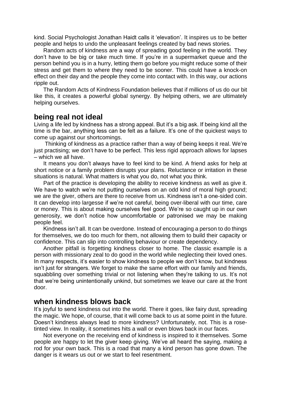kind. Social Psychologist Jonathan Haidt calls it 'elevation'. It inspires us to be better people and helps to undo the unpleasant feelings created by bad news stories.

Random acts of kindness are a way of spreading good feeling in the world. They don't have to be big or take much time. If you're in a supermarket queue and the person behind you is in a hurry, letting them go before you might reduce some of their stress and get them to where they need to be sooner. This could have a knock-on effect on their day and the people they come into contact with. In this way, our actions ripple out.

The Random Acts of Kindness Foundation believes that if millions of us do our bit like this, it creates a powerful global synergy. By helping others, we are ultimately helping ourselves.

### **being real not ideal**

Living a life led by kindness has a strong appeal. But it's a big ask. If being kind all the time is the bar, anything less can be felt as a failure. It's one of the quickest ways to come up against our shortcomings.

Thinking of kindness as a practice rather than a way of being keeps it real. We're just practising; we don't have to be perfect. This less rigid approach allows for lapses – which we all have.

It means you don't always have to feel kind to be kind. A friend asks for help at short notice or a family problem disrupts your plans. Reluctance or irritation in these situations is natural. What matters is what you do, not what you think.

Part of the practice is developing the ability to receive kindness as well as give it. We have to watch we're not putting ourselves on an odd kind of moral high ground; we are the giver, others are there to receive from us. Kindness isn't a one-sided coin. It can develop into largesse if we're not careful, being over-liberal with our time, care or money. This is about making ourselves feel good. We're so caught up in our own generosity, we don't notice how uncomfortable or patronised we may be making people feel.

Kindness isn't all. It can be overdone. Instead of encouraging a person to do things for themselves, we do too much for them, not allowing them to build their capacity or confidence. This can slip into controlling behaviour or create dependency.

Another pitfall is forgetting kindness closer to home. The classic example is a person with missionary zeal to do good in the world while neglecting their loved ones. In many respects, it's easier to show kindness to people we don't know, but kindness isn't just for strangers. We forget to make the same effort with our family and friends, squabbling over something trivial or not listening when they're talking to us. It's not that we're being unintentionally unkind, but sometimes we leave our care at the front door.

### **when kindness blows back**

It's joyful to send kindness out into the world. There it goes, like fairy dust, spreading the magic. We hope, of course, that it will come back to us at some point in the future. Doesn't kindness always lead to more kindness? Unfortunately, not. This is a rosetinted view. In reality, it sometimes hits a wall or even blows back in our faces.

Not everyone on the receiving end of kindness is inspired to it themselves. Some people are happy to let the giver keep giving. We've all heard the saying, making a rod for your own back. This is a road that many a kind person has gone down. The danger is it wears us out or we start to feel resentment.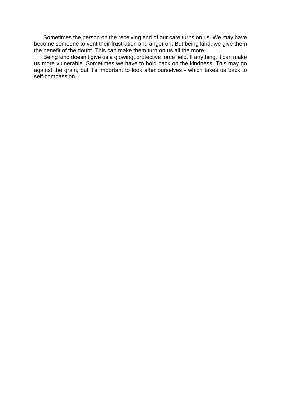Sometimes the person on the receiving end of our care turns on us. We may have become someone to vent their frustration and anger on. But being kind, we give them the benefit of the doubt. This can make them turn on us all the more.

Being kind doesn't give us a glowing, protective force field. If anything, it can make us more vulnerable. Sometimes we have to hold back on the kindness. This may go against the grain, but it's important to look after ourselves - which takes us back to self-compassion.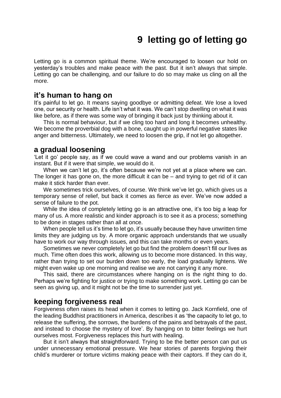# **9 letting go of letting go**

<span id="page-31-0"></span>Letting go is a common spiritual theme. We're encouraged to loosen our hold on yesterday's troubles and make peace with the past. But it isn't always that simple. Letting go can be challenging, and our failure to do so may make us cling on all the more.

### **it's human to hang on**

It's painful to let go. It means saying goodbye or admitting defeat. We lose a loved one, our security or health. Life isn't what it was. We can't stop dwelling on what it was like before, as if there was some way of bringing it back just by thinking about it.

This is normal behaviour, but if we cling too hard and long it becomes unhealthy. We become the proverbial dog with a bone, caught up in powerful negative states like anger and bitterness. Ultimately, we need to loosen the grip, if not let go altogether.

### **a gradual loosening**

'Let it go' people say, as if we could wave a wand and our problems vanish in an instant. But if it were that simple, we would do it.

When we can't let go, it's often because we're not yet at a place where we can. The longer it has gone on, the more difficult it can be – and trying to get rid of it can make it stick harder than ever.

We sometimes trick ourselves, of course. We think we've let go, which gives us a temporary sense of relief, but back it comes as fierce as ever. We've now added a sense of failure to the pot.

While the idea of completely letting go is an attractive one, it's too big a leap for many of us. A more realistic and kinder approach is to see it as a process; something to be done in stages rather than all at once.

When people tell us it's time to let go, it's usually because they have unwritten time limits they are judging us by. A more organic approach understands that we usually have to work our way through issues, and this can take months or even years.

Sometimes we never completely let go but find the problem doesn't fill our lives as much. Time often does this work, allowing us to become more distanced. In this way, rather than trying to set our burden down too early, the load gradually lightens. We might even wake up one morning and realise we are not carrying it any more.

This said, there are circumstances where hanging on is the right thing to do. Perhaps we're fighting for justice or trying to make something work. Letting go can be seen as giving up, and it might not be the time to surrender just yet.

# **keeping forgiveness real**

Forgiveness often raises its head when it comes to letting go. Jack Kornfield, one of the leading Buddhist practitioners in America, describes it as 'the capacity to let go, to release the suffering, the sorrows, the burdens of the pains and betrayals of the past, and instead to choose the mystery of love'. By hanging on to bitter feelings we hurt ourselves most. Forgiveness replaces this hurt with healing.

But it isn't always that straightforward. Trying to be the better person can put us under unnecessary emotional pressure. We hear stories of parents forgiving their child's murderer or torture victims making peace with their captors. If they can do it,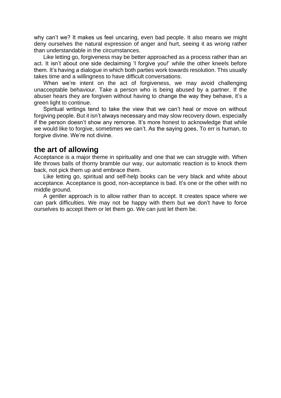why can't we? It makes us feel uncaring, even bad people. It also means we might deny ourselves the natural expression of anger and hurt, seeing it as wrong rather than understandable in the circumstances.

Like letting go, forgiveness may be better approached as a process rather than an act. It isn't about one side declaiming 'I forgive you!' while the other kneels before them. It's having a dialogue in which both parties work towards resolution. This usually takes time and a willingness to have difficult conversations.

When we're intent on the act of forgiveness, we may avoid challenging unacceptable behaviour. Take a person who is being abused by a partner. If the abuser hears they are forgiven without having to change the way they behave, it's a green light to continue.

Spiritual writings tend to take the view that we can't heal or move on without forgiving people. But it isn't always necessary and may slow recovery down, especially if the person doesn't show any remorse. It's more honest to acknowledge that while we would like to forgive, sometimes we can't. As the saying goes, To err is human, to forgive divine. We're not divine.

## **the art of allowing**

Acceptance is a major theme in spirituality and one that we can struggle with. When life throws balls of thorny bramble our way, our automatic reaction is to knock them back, not pick them up and embrace them.

Like letting go, spiritual and self-help books can be very black and white about acceptance. Acceptance is good, non-acceptance is bad. It's one or the other with no middle ground.

A gentler approach is to allow rather than to accept. It creates space where we can park difficulties. We may not be happy with them but we don't have to force ourselves to accept them or let them go. We can just let them be.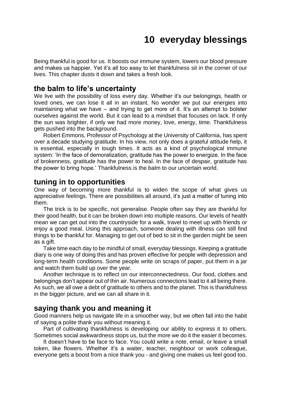# **10 everyday blessings**

<span id="page-33-0"></span>Being thankful is good for us. It boosts our immune system, lowers our blood pressure and makes us happier. Yet it's all too easy to let thankfulness sit in the corner of our lives. This chapter dusts it down and takes a fresh look.

# **the balm to life's uncertainty**

We live with the possibility of loss every day. Whether it's our belongings, health or loved ones, we can lose it all in an instant. No wonder we put our energies into maintaining what we have – and trying to get more of it. It's an attempt to bolster ourselves against the world. But it can lead to a mindset that focuses on lack. If only the sun was brighter, if only we had more money, love, energy, time. Thankfulness gets pushed into the background.

Robert Emmons, Professor of Psychology at the University of California, has spent over a decade studying gratitude. In his view, not only does a grateful attitude help, it is essential, especially in tough times. It acts as a kind of psychological immune system: 'In the face of demoralization, gratitude has the power to energize. In the face of brokenness, gratitude has the power to heal. In the face of despair, gratitude has the power to bring hope.' Thankfulness is the balm to our uncertain world.

### **tuning in to opportunities**

One way of becoming more thankful is to widen the scope of what gives us appreciative feelings. There are possibilities all around, it's just a matter of tuning into them.

The trick is to be specific, not generalise. People often say they are thankful for their good health, but it can be broken down into multiple reasons. Our levels of health mean we can get out into the countryside for a walk, travel to meet up with friends or enjoy a good meal. Using this approach, someone dealing with illness can still find things to be thankful for. Managing to get out of bed to sit in the garden might be seen as a gift.

Take time each day to be mindful of small, everyday blessings. Keeping a gratitude diary is one way of doing this and has proven effective for people with depression and long-term health conditions. Some people write on scraps of paper, put them in a jar and watch them build up over the year.

Another technique is to reflect on our interconnectedness. Our food, clothes and belongings don't appear out of thin air. Numerous connections lead to it all being there. As such, we all owe a debt of gratitude to others and to the planet. This is thankfulness in the bigger picture, and we can all share in it.

# **saying thank you and meaning it**

Good manners help us navigate life in a smoother way, but we often fall into the habit of saying a polite thank you without meaning it.

Part of cultivating thankfulness is developing our ability to express it to others. Sometimes social awkwardness stops us, but the more we do it the easier it becomes.

It doesn't have to be face to face. You could write a note, email, or leave a small token, like flowers. Whether it's a waiter, teacher, neighbour or work colleague, everyone gets a boost from a nice thank you - and giving one makes us feel good too.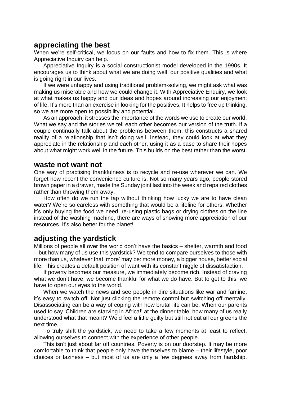# **appreciating the best**

When we're self-critical, we focus on our faults and how to fix them. This is where Appreciative Inquiry can help.

Appreciative Inquiry is a social constructionist model developed in the 1990s. It encourages us to think about what we are doing well, our positive qualities and what is going right in our lives.

If we were unhappy and using traditional problem-solving, we might ask what was making us miserable and how we could change it. With Appreciative Enquiry, we look at what makes us happy and our ideas and hopes around increasing our enjoyment of life. It's more than an exercise in looking for the positives. It helps to free up thinking, so we are more open to possibility and potential.

As an approach, it stresses the importance of the words we use to create our world. What we say and the stories we tell each other becomes our version of the truth. If a couple continually talk about the problems between them, this constructs a shared reality of a relationship that isn't doing well. Instead, they could look at what they appreciate in the relationship and each other, using it as a base to share their hopes about what might work well in the future. This builds on the best rather than the worst.

#### **waste not want not**

One way of practising thankfulness is to recycle and re-use wherever we can. We forget how recent the convenience culture is. Not so many years ago, people stored brown paper in a drawer, made the Sunday joint last into the week and repaired clothes rather than throwing them away.

How often do we run the tap without thinking how lucky we are to have clean water? We're so careless with something that would be a lifeline for others. Whether it's only buying the food we need, re-using plastic bags or drying clothes on the line instead of the washing machine, there are ways of showing more appreciation of our resources. It's also better for the planet!

# **adjusting the yardstick**

Millions of people all over the world don't have the basics – shelter, warmth and food – but how many of us use this yardstick? We tend to compare ourselves to those with more than us, whatever that 'more' may be: more money, a bigger house, better social life. This creates a default position of want with its constant niggle of dissatisfaction.

If poverty becomes our measure, we immediately become rich. Instead of craving what we don't have, we become thankful for what we do have. But to get to this, we have to open our eyes to the world.

When we watch the news and see people in dire situations like war and famine, it's easy to switch off. Not just clicking the remote control but switching off mentally. Disassociating can be a way of coping with how brutal life can be. When our parents used to say 'Children are starving in Africa!' at the dinner table, how many of us really understood what that meant? We'd feel a little guilty but still not eat all our greens the next time.

To truly shift the yardstick, we need to take a few moments at least to reflect, allowing ourselves to connect with the experience of other people.

This isn't just about far off countries. Poverty is on our doorstep. It may be more comfortable to think that people only have themselves to blame – their lifestyle, poor choices or laziness – but most of us are only a few degrees away from hardship.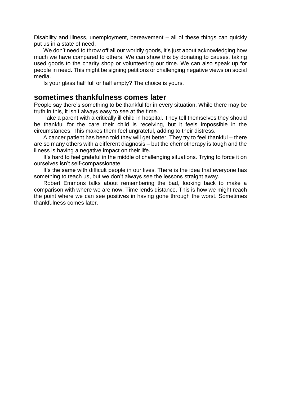Disability and illness, unemployment, bereavement – all of these things can quickly put us in a state of need.

We don't need to throw off all our worldly goods, it's just about acknowledging how much we have compared to others. We can show this by donating to causes, taking used goods to the charity shop or volunteering our time. We can also speak up for people in need. This might be signing petitions or challenging negative views on social media.

Is your glass half full or half empty? The choice is yours.

#### **sometimes thankfulness comes later**

People say there's something to be thankful for in every situation. While there may be truth in this, it isn't always easy to see at the time.

Take a parent with a critically ill child in hospital. They tell themselves they should be thankful for the care their child is receiving, but it feels impossible in the circumstances. This makes them feel ungrateful, adding to their distress.

A cancer patient has been told they will get better. They try to feel thankful – there are so many others with a different diagnosis – but the chemotherapy is tough and the illness is having a negative impact on their life.

It's hard to feel grateful in the middle of challenging situations. Trying to force it on ourselves isn't self-compassionate.

It's the same with difficult people in our lives. There is the idea that everyone has something to teach us, but we don't always see the lessons straight away.

Robert Emmons talks about remembering the bad, looking back to make a comparison with where we are now. Time lends distance. This is how we might reach the point where we can see positives in having gone through the worst. Sometimes thankfulness comes later.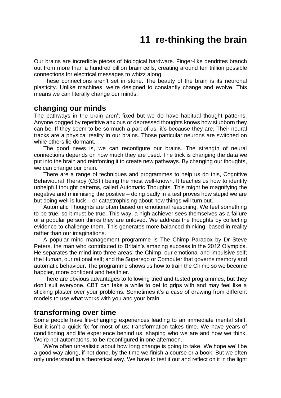# **11 re-thinking the brain**

<span id="page-36-0"></span>Our brains are incredible pieces of biological hardware. Finger-like dendrites branch out from more than a hundred billion brain cells, creating around ten trillion possible connections for electrical messages to whizz along.

These connections aren't set in stone. The beauty of the brain is its neuronal plasticity. Unlike machines, we're designed to constantly change and evolve. This means we can literally change our minds.

## **changing our minds**

The pathways in the brain aren't fixed but we do have habitual thought patterns. Anyone dogged by repetitive anxious or depressed thoughts knows how stubborn they can be. If they seem to be so much a part of us, it's because they are. Their neural tracks are a physical reality in our brains. Those particular neurons are switched on while others lie dormant.

The good news is, we can reconfigure our brains. The strength of neural connections depends on how much they are used. The trick is changing the data we put into the brain and reinforcing it to create new pathways. By changing our thoughts, we can change our brain.

There are a range of techniques and programmes to help us do this, Cognitive Behavioural Therapy (CBT) being the most well-known. It teaches us how to identify unhelpful thought patterns, called Automatic Thoughts. This might be magnifying the negative and minimising the positive – doing badly in a test proves how stupid we are but doing well is luck – or catastrophising about how things will turn out.

Automatic Thoughts are often based on emotional reasoning. We feel something to be true, so it must be true. This way, a high achiever sees themselves as a failure or a popular person thinks they are unloved. We address the thoughts by collecting evidence to challenge them. This generates more balanced thinking, based in reality rather than our imaginations.

A popular mind management programme is The Chimp Paradox by Dr Steve Peters, the man who contributed to Britain's amazing success in the 2012 Olympics. He separates the mind into three areas: the Chimp, our emotional and impulsive self; the Human, our rational self; and the Superego or Computer that governs memory and automatic behaviour. The programme shows us how to train the Chimp so we become happier, more confident and healthier.

There are obvious advantages to following tried and tested programmes, but they don't suit everyone. CBT can take a while to get to grips with and may feel like a sticking plaster over your problems. Sometimes it's a case of drawing from different models to use what works with you and your brain.

## **transforming over time**

Some people have life-changing experiences leading to an immediate mental shift. But it isn't a quick fix for most of us; transformation takes time. We have years of conditioning and life experience behind us, shaping who we are and how we think. We're not automatons, to be reconfigured in one afternoon.

We're often unrealistic about how long change is going to take. We hope we'll be a good way along, if not done, by the time we finish a course or a book. But we often only understand in a theoretical way. We have to test it out and reflect on it in the light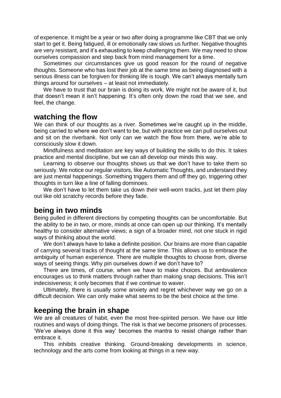of experience. It might be a year or two after doing a programme like CBT that we only start to get it. Being fatigued, ill or emotionally raw slows us further. Negative thoughts are very resistant, and it's exhausting to keep challenging them. We may need to show ourselves compassion and step back from mind management for a time.

Sometimes our circumstances give us good reason for the round of negative thoughts. Someone who has lost their job at the same time as being diagnosed with a serious illness can be forgiven for thinking life is tough. We can't always mentally turn things around for ourselves – at least not immediately.

We have to trust that our brain is doing its work. We might not be aware of it, but that doesn't mean it isn't happening. It's often only down the road that we see, and feel, the change.

### **watching the flow**

We can think of our thoughts as a river. Sometimes we're caught up in the middle, being carried to where we don't want to be, but with practice we can pull ourselves out and sit on the riverbank. Not only can we watch the flow from there, we're able to consciously slow it down.

Mindfulness and meditation are key ways of building the skills to do this. It takes practice and mental discipline, but we can all develop our minds this way.

Learning to observe our thoughts shows us that we don't have to take them so seriously. We notice our regular visitors, like Automatic Thoughts, and understand they are just mental happenings. Something triggers them and off they go, triggering other thoughts in turn like a line of falling dominoes.

We don't have to let them take us down their well-worn tracks, just let them play out like old scratchy records before they fade.

## **being in two minds**

Being pulled in different directions by competing thoughts can be uncomfortable. But the ability to be in two, or more, minds at once can open up our thinking. It's mentally healthy to consider alternative views; a sign of a broader mind, not one stuck in rigid ways of thinking about the world.

We don't always have to take a definite position. Our brains are more than capable of carrying several tracks of thought at the same time. This allows us to embrace the ambiguity of human experience. There are multiple thoughts to choose from, diverse ways of seeing things. Why pin ourselves down if we don't have to?

There are times, of course, when we have to make choices. But ambivalence encourages us to think matters through rather than making snap decisions. This isn't indecisiveness; it only becomes that if we continue to waver.

Ultimately, there is usually some anxiety and regret whichever way we go on a difficult decision. We can only make what seems to be the best choice at the time.

# **keeping the brain in shape**

We are all creatures of habit, even the most free-spirited person. We have our little routines and ways of doing things. The risk is that we become prisoners of processes. 'We've always done it this way' becomes the mantra to resist change rather than embrace it.

This inhibits creative thinking. Ground-breaking developments in science, technology and the arts come from looking at things in a new way.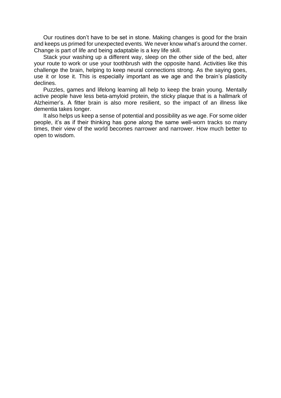Our routines don't have to be set in stone. Making changes is good for the brain and keeps us primed for unexpected events. We never know what's around the corner. Change is part of life and being adaptable is a key life skill.

Stack your washing up a different way, sleep on the other side of the bed, alter your route to work or use your toothbrush with the opposite hand. Activities like this challenge the brain, helping to keep neural connections strong. As the saying goes, use it or lose it. This is especially important as we age and the brain's plasticity declines.

Puzzles, games and lifelong learning all help to keep the brain young. Mentally active people have less beta-amyloid protein, the sticky plaque that is a hallmark of Alzheimer's. A fitter brain is also more resilient, so the impact of an illness like dementia takes longer.

It also helps us keep a sense of potential and possibility as we age. For some older people, it's as if their thinking has gone along the same well-worn tracks so many times, their view of the world becomes narrower and narrower. How much better to open to wisdom.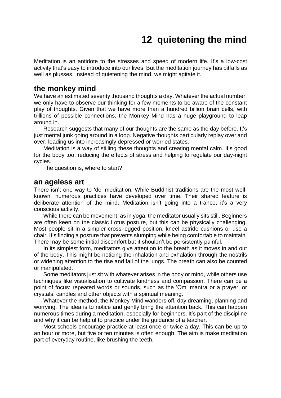# **12 quietening the mind**

<span id="page-39-0"></span>Meditation is an antidote to the stresses and speed of modern life. It's a low-cost activity that's easy to introduce into our lives. But the meditation journey has pitfalls as well as plusses. Instead of quietening the mind, we might agitate it.

## **the monkey mind**

We have an estimated seventy thousand thoughts a day. Whatever the actual number, we only have to observe our thinking for a few moments to be aware of the constant play of thoughts. Given that we have more than a hundred billion brain cells, with trillions of possible connections, the Monkey Mind has a huge playground to leap around in.

Research suggests that many of our thoughts are the same as the day before. It's just mental junk going around in a loop. Negative thoughts particularly replay over and over, leading us into increasingly depressed or worried states.

Meditation is a way of stilling these thoughts and creating mental calm. It's good for the body too, reducing the effects of stress and helping to regulate our day-night cycles.

The question is, where to start?

#### **an ageless art**

There isn't one way to 'do' meditation. While Buddhist traditions are the most wellknown, numerous practices have developed over time. Their shared feature is deliberate attention of the mind. Meditation isn't going into a trance; it's a very conscious activity.

While there can be movement, as in yoga, the meditator usually sits still. Beginners are often keen on the classic Lotus posture, but this can be physically challenging. Most people sit in a simpler cross-legged position, kneel astride cushions or use a chair. It's finding a posture that prevents slumping while being comfortable to maintain. There may be some initial discomfort but it shouldn't be persistently painful.

In its simplest form, meditators give attention to the breath as it moves in and out of the body. This might be noticing the inhalation and exhalation through the nostrils or widening attention to the rise and fall of the lungs. The breath can also be counted or manipulated.

Some meditators just sit with whatever arises in the body or mind, while others use techniques like visualisation to cultivate kindness and compassion. There can be a point of focus: repeated words or sounds, such as the 'Om' mantra or a prayer, or crystals, candles and other objects with a spiritual meaning.

Whatever the method, the Monkey Mind wanders off, day dreaming, planning and worrying. The idea is to notice and gently bring the attention back. This can happen numerous times during a meditation, especially for beginners. It's part of the discipline and why it can be helpful to practice under the guidance of a teacher.

Most schools encourage practice at least once or twice a day. This can be up to an hour or more, but five or ten minutes is often enough. The aim is make meditation part of everyday routine, like brushing the teeth.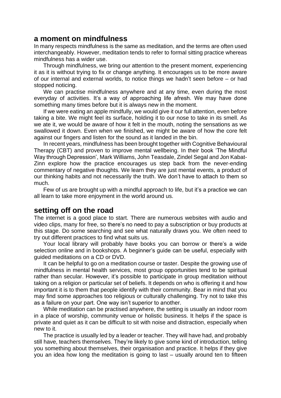### **a moment on mindfulness**

In many respects mindfulness is the same as meditation, and the terms are often used interchangeably. However, meditation tends to refer to formal sitting practice whereas mindfulness has a wider use.

Through mindfulness, we bring our attention to the present moment, experiencing it as it is without trying to fix or change anything. It encourages us to be more aware of our internal and external worlds, to notice things we hadn't seen before – or had stopped noticing.

We can practise mindfulness anywhere and at any time, even during the most everyday of activities. It's a way of approaching life afresh. We may have done something many times before but it is always new in the moment.

If we were eating an apple mindfully, we would give it our full attention, even before taking a bite. We might feel its surface, holding it to our nose to take in its smell. As we ate it, we would be aware of how it felt in the mouth, noting the sensations as we swallowed it down. Even when we finished, we might be aware of how the core felt against our fingers and listen for the sound as it landed in the bin.

In recent years, mindfulness has been brought together with Cognitive Behavioural Therapy (CBT) and proven to improve mental wellbeing. In their book 'The Mindful Way through Depression', Mark Williams, John Teasdale, Zindel Segal and Jon Kabat-Zinn explore how the practice encourages us step back from the never-ending commentary of negative thoughts. We learn they are just mental events, a product of our thinking habits and not necessarily the truth. We don't have to attach to them so much.

Few of us are brought up with a mindful approach to life, but it's a practice we can all learn to take more enjoyment in the world around us.

# **setting off on the road**

The internet is a good place to start. There are numerous websites with audio and video clips, many for free, so there's no need to pay a subscription or buy products at this stage. Do some searching and see what naturally draws you. We often need to try out different practices to find what suits us.

Your local library will probably have books you can borrow or there's a wide selection online and in bookshops. A beginner's guide can be useful, especially with guided meditations on a CD or DVD.

It can be helpful to go on a meditation course or taster. Despite the growing use of mindfulness in mental health services, most group opportunities tend to be spiritual rather than secular. However, it's possible to participate in group meditation without taking on a religion or particular set of beliefs. It depends on who is offering it and how important it is to them that people identify with their community. Bear in mind that you may find some approaches too religious or culturally challenging. Try not to take this as a failure on your part. One way isn't superior to another.

While meditation can be practised anywhere, the setting is usually an indoor room in a place of worship, community venue or holistic business. It helps if the space is private and quiet as it can be difficult to sit with noise and distraction, especially when new to it.

The practice is usually led by a leader or teacher. They will have had, and probably still have, teachers themselves. They're likely to give some kind of introduction, telling you something about themselves, their organisation and practice. It helps if they give you an idea how long the meditation is going to last – usually around ten to fifteen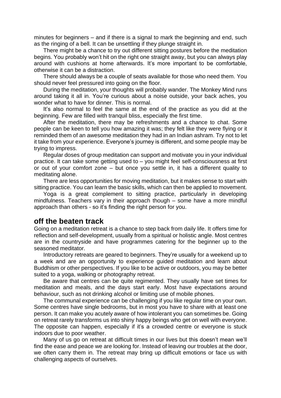minutes for beginners – and if there is a signal to mark the beginning and end, such as the ringing of a bell. It can be unsettling if they plunge straight in.

There might be a chance to try out different sitting postures before the meditation begins. You probably won't hit on the right one straight away, but you can always play around with cushions at home afterwards. It's more important to be comfortable, otherwise it can be a distraction.

There should always be a couple of seats available for those who need them. You should never feel pressured into going on the floor.

During the meditation, your thoughts will probably wander. The Monkey Mind runs around taking it all in. You're curious about a noise outside, your back aches, you wonder what to have for dinner. This is normal.

It's also normal to feel the same at the end of the practice as you did at the beginning. Few are filled with tranquil bliss, especially the first time.

After the meditation, there may be refreshments and a chance to chat. Some people can be keen to tell you how amazing it was; they felt like they were flying or it reminded them of an awesome meditation they had in an Indian ashram. Try not to let it take from your experience. Everyone's journey is different, and some people may be trying to impress.

Regular doses of group meditation can support and motivate you in your individual practice. It can take some getting used to – you might feel self-consciousness at first or out of your comfort zone – but once you settle in, it has a different quality to meditating alone.

There are less opportunities for moving meditation, but it makes sense to start with sitting practice. You can learn the basic skills, which can then be applied to movement.

Yoga is a great complement to sitting practice, particularly in developing mindfulness. Teachers vary in their approach though – some have a more mindful approach than others - so it's finding the right person for you.

## **off the beaten track**

Going on a meditation retreat is a chance to step back from daily life. It offers time for reflection and self-development, usually from a spiritual or holistic angle. Most centres are in the countryside and have programmes catering for the beginner up to the seasoned meditator.

Introductory retreats are geared to beginners. They're usually for a weekend up to a week and are an opportunity to experience guided meditation and learn about Buddhism or other perspectives. If you like to be active or outdoors, you may be better suited to a yoga, walking or photography retreat.

Be aware that centres can be quite regimented. They usually have set times for meditation and meals, and the days start early. Most have expectations around behaviour, such as not drinking alcohol or limiting use of mobile phones.

The communal experience can be challenging if you like regular time on your own. Some centres have single bedrooms, but in most you have to share with at least one person. It can make you acutely aware of how intolerant you can sometimes be. Going on retreat rarely transforms us into shiny happy beings who get on well with everyone. The opposite can happen, especially if it's a crowded centre or everyone is stuck indoors due to poor weather.

Many of us go on retreat at difficult times in our lives but this doesn't mean we'll find the ease and peace we are looking for. Instead of leaving our troubles at the door, we often carry them in. The retreat may bring up difficult emotions or face us with challenging aspects of ourselves.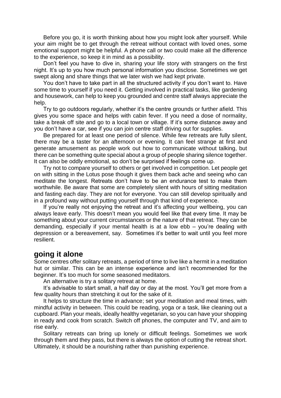Before you go, it is worth thinking about how you might look after yourself. While your aim might be to get through the retreat without contact with loved ones, some emotional support might be helpful. A phone call or two could make all the difference to the experience, so keep it in mind as a possibility.

Don't feel you have to dive in, sharing your life story with strangers on the first night. It's up to you how much personal information you disclose. Sometimes we get swept along and share things that we later wish we had kept private.

You don't have to take part in all the structured activity if you don't want to. Have some time to yourself if you need it. Getting involved in practical tasks, like gardening and housework, can help to keep you grounded and centre staff always appreciate the help.

Try to go outdoors regularly, whether it's the centre grounds or further afield. This gives you some space and helps with cabin fever. If you need a dose of normality, take a break off site and go to a local town or village. If it's some distance away and you don't have a car, see if you can join centre staff driving out for supplies.

Be prepared for at least one period of silence. While few retreats are fully silent, there may be a taster for an afternoon or evening. It can feel strange at first and generate amusement as people work out how to communicate without talking, but there can be something quite special about a group of people sharing silence together. It can also be oddly emotional, so don't be surprised if feelings come up.

Try not to compare yourself to others or get involved in competition. Let people get on with sitting in the Lotus pose though it gives them back ache and seeing who can meditate the longest. Retreats don't have to be an endurance test to make them worthwhile. Be aware that some are completely silent with hours of sitting meditation and fasting each day. They are not for everyone. You can still develop spiritually and in a profound way without putting yourself through that kind of experience.

If you're really not enjoying the retreat and it's affecting your wellbeing, you can always leave early. This doesn't mean you would feel like that every time. It may be something about your current circumstances or the nature of that retreat. They can be demanding, especially if your mental health is at a low ebb – you're dealing with depression or a bereavement, say. Sometimes it's better to wait until you feel more resilient.

# **going it alone**

Some centres offer solitary retreats, a period of time to live like a hermit in a meditation hut or similar. This can be an intense experience and isn't recommended for the beginner. It's too much for some seasoned meditators.

An alternative is try a solitary retreat at home.

It's advisable to start small, a half day or day at the most. You'll get more from a few quality hours than stretching it out for the sake of it.

It helps to structure the time in advance; set your meditation and meal times, with mindful activity in between. This could be reading, yoga or a task, like cleaning out a cupboard. Plan your meals, ideally healthy vegetarian, so you can have your shopping in ready and cook from scratch. Switch off phones, the computer and TV, and aim to rise early.

Solitary retreats can bring up lonely or difficult feelings. Sometimes we work through them and they pass, but there is always the option of cutting the retreat short. Ultimately, it should be a nourishing rather than punishing experience.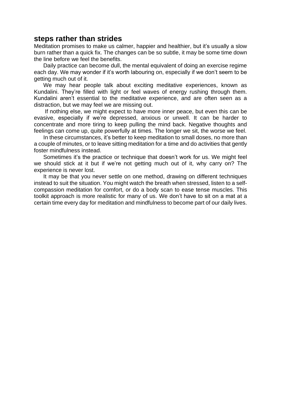# **steps rather than strides**

Meditation promises to make us calmer, happier and healthier, but it's usually a slow burn rather than a quick fix. The changes can be so subtle, it may be some time down the line before we feel the benefits.

Daily practice can become dull, the mental equivalent of doing an exercise regime each day. We may wonder if it's worth labouring on, especially if we don't seem to be getting much out of it.

We may hear people talk about exciting meditative experiences, known as Kundalini. They're filled with light or feel waves of energy rushing through them. Kundalini aren't essential to the meditative experience, and are often seen as a distraction, but we may feel we are missing out.

If nothing else, we might expect to have more inner peace, but even this can be evasive, especially if we're depressed, anxious or unwell. It can be harder to concentrate and more tiring to keep pulling the mind back. Negative thoughts and feelings can come up, quite powerfully at times. The longer we sit, the worse we feel.

In these circumstances, it's better to keep meditation to small doses, no more than a couple of minutes, or to leave sitting meditation for a time and do activities that gently foster mindfulness instead.

Sometimes it's the practice or technique that doesn't work for us. We might feel we should stick at it but if we're not getting much out of it, why carry on? The experience is never lost.

It may be that you never settle on one method, drawing on different techniques instead to suit the situation. You might watch the breath when stressed, listen to a selfcompassion meditation for comfort, or do a body scan to ease tense muscles. This toolkit approach is more realistic for many of us. We don't have to sit on a mat at a certain time every day for meditation and mindfulness to become part of our daily lives.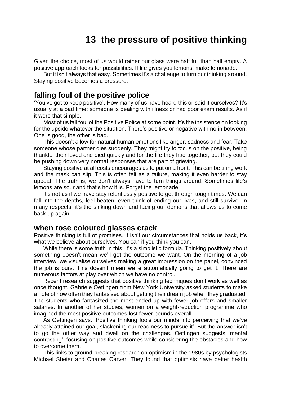# **13 the pressure of positive thinking**

<span id="page-44-0"></span>Given the choice, most of us would rather our glass were half full than half empty. A positive approach looks for possibilities. If life gives you lemons, make lemonade.

But it isn't always that easy. Sometimes it's a challenge to turn our thinking around. Staying positive becomes a pressure.

### **falling foul of the positive police**

'You've got to keep positive'. How many of us have heard this or said it ourselves? It's usually at a bad time; someone is dealing with illness or had poor exam results. As if it were that simple.

Most of us fall foul of the Positive Police at some point. It's the insistence on looking for the upside whatever the situation. There's positive or negative with no in between. One is good, the other is bad.

This doesn't allow for natural human emotions like anger, sadness and fear. Take someone whose partner dies suddenly. They might try to focus on the positive, being thankful their loved one died quickly and for the life they had together, but they could be pushing down very normal responses that are part of grieving.

Staying positive at all costs encourages us to put on a front. This can be tiring work and the mask can slip. This is often felt as a failure, making it even harder to stay upbeat. The truth is, we don't always have to turn things around. Sometimes life's lemons are sour and that's how it is. Forget the lemonade.

It's not as if we have stay relentlessly positive to get through tough times. We can fall into the depths, feel beaten, even think of ending our lives, and still survive. In many respects, it's the sinking down and facing our demons that allows us to come back up again.

## **when rose coloured glasses crack**

Positive thinking is full of promises. It isn't our circumstances that holds us back, it's what we believe about ourselves. You can if you think you can.

While there is some truth in this, it's a simplistic formula. Thinking positively about something doesn't mean we'll get the outcome we want. On the morning of a job interview, we visualise ourselves making a great impression on the panel, convinced the job is ours. This doesn't mean we're automatically going to get it. There are numerous factors at play over which we have no control.

Recent research suggests that positive thinking techniques don't work as well as once thought. Gabriele Oettingen from New York University asked students to make a note of how often they fantasised about getting their dream job when they graduated. The students who fantasized the most ended up with fewer job offers and smaller salaries. In another of her studies, women on a weight-reduction programme who imagined the most positive outcomes lost fewer pounds overall.

As Oettingen says: 'Positive thinking fools our minds into perceiving that we've already attained our goal, slackening our readiness to pursue it'. But the answer isn't to go the other way and dwell on the challenges. Oettingen suggests 'mental contrasting', focusing on positive outcomes while considering the obstacles and how to overcome them.

This links to ground-breaking research on optimism in the 1980s by psychologists Michael Sheier and Charles Carver. They found that optimists have better health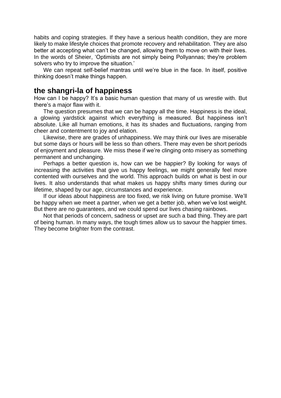habits and coping strategies. If they have a serious health condition, they are more likely to make lifestyle choices that promote recovery and rehabilitation. They are also better at accepting what can't be changed, allowing them to move on with their lives. In the words of Sheier, 'Optimists are not simply being Pollyannas; they're problem solvers who try to improve the situation.'

We can repeat self-belief mantras until we're blue in the face. In itself, positive thinking doesn't make things happen.

### **the shangri-la of happiness**

How can I be happy? It's a basic human question that many of us wrestle with. But there's a major flaw with it.

The question presumes that we can be happy all the time. Happiness is the ideal, a glowing yardstick against which everything is measured. But happiness isn't absolute. Like all human emotions, it has its shades and fluctuations, ranging from cheer and contentment to joy and elation.

Likewise, there are grades of unhappiness. We may think our lives are miserable but some days or hours will be less so than others. There may even be short periods of enjoyment and pleasure. We miss these if we're clinging onto misery as something permanent and unchanging.

Perhaps a better question is, how can we be happier? By looking for ways of increasing the activities that give us happy feelings, we might generally feel more contented with ourselves and the world. This approach builds on what is best in our lives. It also understands that what makes us happy shifts many times during our lifetime, shaped by our age, circumstances and experience.

If our ideas about happiness are too fixed, we risk living on future promise. We'll be happy when we meet a partner, when we get a better job, when we've lost weight. But there are no guarantees, and we could spend our lives chasing rainbows.

Not that periods of concern, sadness or upset are such a bad thing. They are part of being human. In many ways, the tough times allow us to savour the happier times. They become brighter from the contrast.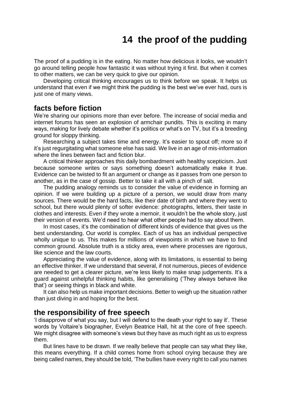# **14 the proof of the pudding**

<span id="page-46-0"></span>The proof of a pudding is in the eating. No matter how delicious it looks, we wouldn't go around telling people how fantastic it was without trying it first. But when it comes to other matters, we can be very quick to give our opinion.

Developing critical thinking encourages us to think before we speak. It helps us understand that even if we might think the pudding is the best we've ever had, ours is just one of many views.

## **facts before fiction**

We're sharing our opinions more than ever before. The increase of social media and internet forums has seen an explosion of armchair pundits. This is exciting in many ways, making for lively debate whether it's politics or what's on TV, but it's a breeding ground for sloppy thinking.

Researching a subject takes time and energy. It's easier to spout off; more so if it's just regurgitating what someone else has said. We live in an age of mis-information where the lines between fact and fiction blur.

A critical thinker approaches this daily bombardment with healthy scepticism. Just because someone writes or says something doesn't automatically make it true. Evidence can be twisted to fit an argument or change as it passes from one person to another, as in the case of gossip. Better to take it all with a pinch of salt.

The pudding analogy reminds us to consider the value of evidence in forming an opinion. If we were building up a picture of a person, we would draw from many sources. There would be the hard facts, like their date of birth and where they went to school, but there would plenty of softer evidence: photographs, letters, their taste in clothes and interests. Even if they wrote a memoir, it wouldn't be the whole story, just their version of events. We'd need to hear what other people had to say about them.

In most cases, it's the combination of different kinds of evidence that gives us the best understanding. Our world is complex. Each of us has an individual perspective wholly unique to us. This makes for millions of viewpoints in which we have to find common ground. Absolute truth is a sticky area, even where processes are rigorous, like science and the law courts.

Appreciating the value of evidence, along with its limitations, is essential to being an effective thinker. If we understand that several, if not numerous, pieces of evidence are needed to get a clearer picture, we're less likely to make snap judgements. It's a guard against unhelpful thinking habits, like generalising ('They always behave like that') or seeing things in black and white.

It can also help us make important decisions. Better to weigh up the situation rather than just diving in and hoping for the best.

#### **the responsibility of free speech**

'I disapprove of what you say, but I will defend to the death your right to say it'. These words by Voltaire's biographer, Evelyn Beatrice Hall, hit at the core of free speech. We might disagree with someone's views but they have as much right as us to express them.

But lines have to be drawn. If we really believe that people can say what they like, this means everything. If a child comes home from school crying because they are being called names, they should be told, 'The bullies have every right to call you names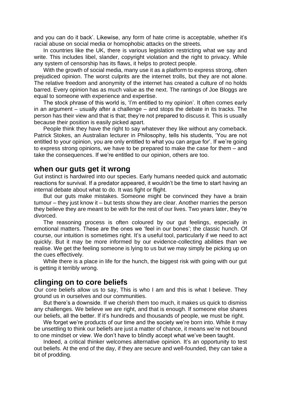and you can do it back'. Likewise, any form of hate crime is acceptable, whether it's racial abuse on social media or homophobic attacks on the streets.

In countries like the UK, there is various legislation restricting what we say and write. This includes libel, slander, copyright violation and the right to privacy. While any system of censorship has its flaws, it helps to protect people.

With the growth of social media, many use it as a platform to express strong, often prejudiced opinion. The worst culprits are the internet trolls, but they are not alone. The relative freedom and anonymity of the internet has created a culture of no holds barred. Every opinion has as much value as the next. The rantings of Joe Bloggs are equal to someone with experience and expertise.

The stock phrase of this world is, 'I'm entitled to my opinion'. It often comes early in an argument – usually after a challenge – and stops the debate in its tracks. The person has their view and that is that; they're not prepared to discuss it. This is usually because their position is easily picked apart.

People think they have the right to say whatever they like without any comeback. Patrick Stokes, an Australian lecturer in Philosophy, tells his students, 'You are not entitled to your opinion, you are only entitled to what you can argue for'. If we're going to express strong opinions, we have to be prepared to make the case for them – and take the consequences. If we're entitled to our opinion, others are too.

#### **when our guts get it wrong**

Gut instinct is hardwired into our species. Early humans needed quick and automatic reactions for survival. If a predator appeared, it wouldn't be the time to start having an internal debate about what to do. It was fight or flight.

But our guts make mistakes. Someone might be convinced they have a brain tumour – they just know it – but tests show they are clear. Another marries the person they believe they are meant to be with for the rest of our lives. Two years later, they're divorced.

The reasoning process is often coloured by our gut feelings, especially in emotional matters. These are the ones we 'feel in our bones'; the classic hunch. Of course, our intuition is sometimes right. It's a useful tool, particularly if we need to act quickly. But it may be more informed by our evidence-collecting abilities than we realise. We get the feeling someone is lying to us but we may simply be picking up on the cues effectively.

While there is a place in life for the hunch, the biggest risk with going with our gut is getting it terribly wrong.

# **clinging on to core beliefs**

Our core beliefs allow us to say, This is who I am and this is what I believe. They ground us in ourselves and our communities.

But there's a downside. If we cherish them too much, it makes us quick to dismiss any challenges. We believe we are right, and that is enough. If someone else shares our beliefs, all the better. If it's hundreds and thousands of people, we must be right.

We forget we're products of our time and the society we're born into. While it may be unsettling to think our beliefs are just a matter of chance, it means we're not bound to one mindset or view. We don't have to blindly accept what we've been taught.

Indeed, a critical thinker welcomes alternative opinion. It's an opportunity to test out beliefs. At the end of the day, if they are secure and well-founded, they can take a bit of prodding.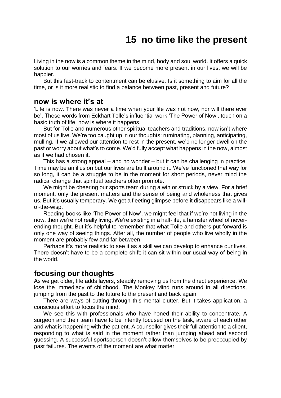# **15 no time like the present**

<span id="page-48-0"></span>Living in the now is a common theme in the mind, body and soul world. It offers a quick solution to our worries and fears. If we become more present in our lives, we will be happier.

But this fast-track to contentment can be elusive. Is it something to aim for all the time, or is it more realistic to find a balance between past, present and future?

## **now is where it's at**

'Life is now. There was never a time when your life was not now, nor will there ever be'. These words from Eckhart Tolle's influential work 'The Power of Now', touch on a basic truth of life: now is where it happens.

But for Tolle and numerous other spiritual teachers and traditions, now isn't where most of us live. We're too caught up in our thoughts; ruminating, planning, anticipating, mulling. If we allowed our attention to rest in the present, we'd no longer dwell on the past or worry about what's to come. We'd fully accept what happens in the now, almost as if we had chosen it.

This has a strong appeal – and no wonder – but it can be challenging in practice. Time may be an illusion but our lives are built around it. We've functioned that way for so long, it can be a struggle to be in the moment for short periods, never mind the radical change that spiritual teachers often promote.

We might be cheering our sports team during a win or struck by a view. For a brief moment, only the present matters and the sense of being and wholeness that gives us. But it's usually temporary. We get a fleeting glimpse before it disappears like a willo'-the-wisp.

Reading books like 'The Power of Now', we might feel that if we're not living in the now, then we're not really living. We're existing in a half-life, a hamster wheel of neverending thought. But it's helpful to remember that what Tolle and others put forward is only one way of seeing things. After all, the number of people who live wholly in the moment are probably few and far between.

Perhaps it's more realistic to see it as a skill we can develop to enhance our lives. There doesn't have to be a complete shift; it can sit within our usual way of being in the world.

#### **focusing our thoughts**

As we get older, life adds layers, steadily removing us from the direct experience. We lose the immediacy of childhood. The Monkey Mind runs around in all directions, jumping from the past to the future to the present and back again.

There are ways of cutting through this mental clutter. But it takes application, a conscious effort to focus the mind.

We see this with professionals who have honed their ability to concentrate. A surgeon and their team have to be intently focused on the task, aware of each other and what is happening with the patient. A counsellor gives their full attention to a client, responding to what is said in the moment rather than jumping ahead and second guessing. A successful sportsperson doesn't allow themselves to be preoccupied by past failures. The events of the moment are what matter.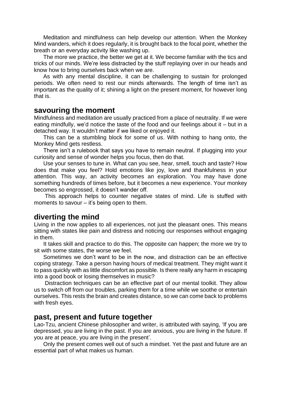Meditation and mindfulness can help develop our attention. When the Monkey Mind wanders, which it does regularly, it is brought back to the focal point, whether the breath or an everyday activity like washing up.

The more we practice, the better we get at it. We become familiar with the tics and tricks of our minds. We're less distracted by the stuff replaying over in our heads and know how to bring ourselves back when we are.

As with any mental discipline, it can be challenging to sustain for prolonged periods. We often need to rest our minds afterwards. The length of time isn't as important as the quality of it; shining a light on the present moment, for however long that is.

#### **savouring the moment**

Mindfulness and meditation are usually practiced from a place of neutrality. If we were eating mindfully, we'd notice the taste of the food and our feelings about it – but in a detached way. It wouldn't matter if we liked or enjoyed it.

This can be a stumbling block for some of us. With nothing to hang onto, the Monkey Mind gets restless.

There isn't a rulebook that says you have to remain neutral. If plugging into your curiosity and sense of wonder helps you focus, then do that.

Use your senses to tune in. What can you see, hear, smell, touch and taste? How does that make you feel? Hold emotions like joy, love and thankfulness in your attention. This way, an activity becomes an exploration. You may have done something hundreds of times before, but it becomes a new experience. Your monkey becomes so engrossed, it doesn't wander off.

This approach helps to counter negative states of mind. Life is stuffed with moments to savour – it's being open to them.

### **diverting the mind**

Living in the now applies to all experiences, not just the pleasant ones. This means sitting with states like pain and distress and noticing our responses without engaging in them.

It takes skill and practice to do this. The opposite can happen; the more we try to sit with some states, the worse we feel.

Sometimes we don't want to be in the now, and distraction can be an effective coping strategy. Take a person having hours of medical treatment. They might want it to pass quickly with as little discomfort as possible. Is there really any harm in escaping into a good book or losing themselves in music?

Distraction techniques can be an effective part of our mental toolkit. They allow us to switch off from our troubles, parking them for a time while we soothe or entertain ourselves. This rests the brain and creates distance, so we can come back to problems with fresh eyes.

## **past, present and future together**

Lao-Tzu, ancient Chinese philosopher and writer, is attributed with saying, 'If you are depressed, you are living in the past. If you are anxious, you are living in the future. If you are at peace, you are living in the present'.

Only the present comes well out of such a mindset. Yet the past and future are an essential part of what makes us human.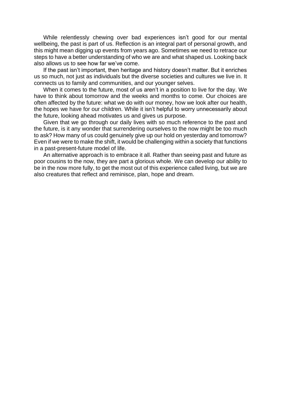While relentlessly chewing over bad experiences isn't good for our mental wellbeing, the past is part of us. Reflection is an integral part of personal growth, and this might mean digging up events from years ago. Sometimes we need to retrace our steps to have a better understanding of who we are and what shaped us. Looking back also allows us to see how far we've come.

If the past isn't important, then heritage and history doesn't matter. But it enriches us so much, not just as individuals but the diverse societies and cultures we live in. It connects us to family and communities, and our younger selves.

When it comes to the future, most of us aren't in a position to live for the day. We have to think about tomorrow and the weeks and months to come. Our choices are often affected by the future: what we do with our money, how we look after our health, the hopes we have for our children. While it isn't helpful to worry unnecessarily about the future, looking ahead motivates us and gives us purpose.

Given that we go through our daily lives with so much reference to the past and the future, is it any wonder that surrendering ourselves to the now might be too much to ask? How many of us could genuinely give up our hold on yesterday and tomorrow? Even if we were to make the shift, it would be challenging within a society that functions in a past-present-future model of life.

An alternative approach is to embrace it all. Rather than seeing past and future as poor cousins to the now, they are part a glorious whole. We can develop our ability to be in the now more fully, to get the most out of this experience called living, but we are also creatures that reflect and reminisce, plan, hope and dream.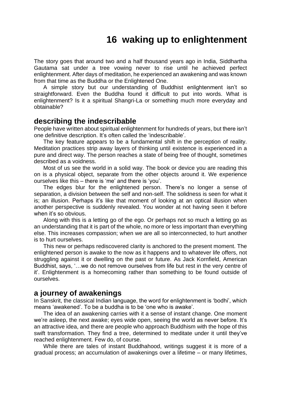# **16 waking up to enlightenment**

<span id="page-51-0"></span>The story goes that around two and a half thousand years ago in India, Siddhartha Gautama sat under a tree vowing never to rise until he achieved perfect enlightenment. After days of meditation, he experienced an awakening and was known from that time as the Buddha or the Enlightened One.

A simple story but our understanding of Buddhist enlightenment isn't so straightforward. Even the Buddha found it difficult to put into words. What is enlightenment? Is it a spiritual Shangri-La or something much more everyday and obtainable?

## **describing the indescribable**

People have written about spiritual enlightenment for hundreds of years, but there isn't one definitive description. It's often called the 'indescribable'.

The key feature appears to be a fundamental shift in the perception of reality. Meditation practices strip away layers of thinking until existence is experienced in a pure and direct way. The person reaches a state of being free of thought, sometimes described as a voidness.

Most of us see the world in a solid way. The book or device you are reading this on is a physical object, separate from the other objects around it. We experience ourselves like this – there is 'me' and there is 'you'.

The edges blur for the enlightened person. There's no longer a sense of separation, a division between the self and non-self. The solidness is seen for what it is; an illusion. Perhaps it's like that moment of looking at an optical illusion when another perspective is suddenly revealed. You wonder at not having seen it before when it's so obvious.

Along with this is a letting go of the ego. Or perhaps not so much a letting go as an understanding that it is part of the whole, no more or less important than everything else. This increases compassion; when we are all so interconnected, to hurt another is to hurt ourselves.

This new or perhaps rediscovered clarity is anchored to the present moment. The enlightened person is awake to the now as it happens and to whatever life offers, not struggling against it or dwelling on the past or future. As Jack Kornfield, American Buddhist, says, '…we do not remove ourselves from life but rest in the very centre of it'. Enlightenment is a homecoming rather than something to be found outside of ourselves.

## **a journey of awakenings**

In Sanskrit, the classical Indian language, the word for enlightenment is 'bodhi', which means 'awakened'. To be a buddha is to be 'one who is awake'.

The idea of an awakening carries with it a sense of instant change. One moment we're asleep, the next awake; eyes wide open, seeing the world as never before. It's an attractive idea, and there are people who approach Buddhism with the hope of this swift transformation. They find a tree, determined to meditate under it until they've reached enlightenment. Few do, of course.

While there are tales of instant Buddhahood, writings suggest it is more of a gradual process; an accumulation of awakenings over a lifetime – or many lifetimes,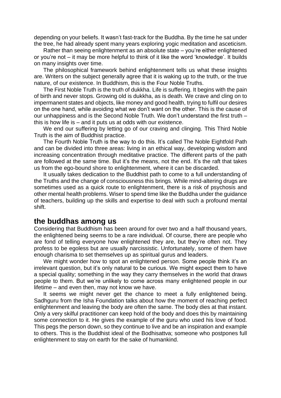depending on your beliefs. It wasn't fast-track for the Buddha. By the time he sat under the tree, he had already spent many years exploring yogic meditation and asceticism.

Rather than seeing enlightenment as an absolute state – you're either enlightened or you're not – it may be more helpful to think of it like the word 'knowledge'. It builds on many insights over time.

The philosophical framework behind enlightenment tells us what these insights are. Writers on the subject generally agree that it is waking up to the truth, or the true nature, of our existence. In Buddhism, this is the Four Noble Truths.

The First Noble Truth is the truth of dukkha. Life is suffering. It begins with the pain of birth and never stops. Growing old is dukkha, as is death. We crave and cling on to impermanent states and objects, like money and good health, trying to fulfil our desires on the one hand, while avoiding what we don't want on the other. This is the cause of our unhappiness and is the Second Noble Truth. We don't understand the first truth – this is how life is – and it puts us at odds with our existence.

We end our suffering by letting go of our craving and clinging. This Third Noble Truth is the aim of Buddhist practice.

The Fourth Noble Truth is the way to do this. It's called The Noble Eightfold Path and can be divided into three areas: living in an ethical way, developing wisdom and increasing concentration through meditative practice. The different parts of the path are followed at the same time. But it's the means, not the end. It's the raft that takes us from the ego-bound shore to enlightenment, where it can be discarded.

It usually takes dedication to the Buddhist path to come to a full understanding of the Truths and the change of consciousness this brings. While mind-altering drugs are sometimes used as a quick route to enlightenment, there is a risk of psychosis and other mental health problems. Wiser to spend time like the Buddha under the guidance of teachers, building up the skills and expertise to deal with such a profound mental shift.

#### **the buddhas among us**

Considering that Buddhism has been around for over two and a half thousand years, the enlightened being seems to be a rare individual. Of course, there are people who are fond of telling everyone how enlightened they are, but they're often not. They profess to be egoless but are usually narcissistic. Unfortunately, some of them have enough charisma to set themselves up as spiritual gurus and leaders.

We might wonder how to spot an enlightened person. Some people think it's an irrelevant question, but it's only natural to be curious. We might expect them to have a special quality; something in the way they carry themselves in the world that draws people to them. But we're unlikely to come across many enlightened people in our lifetime – and even then, may not know we have.

It seems we might never get the chance to meet a fully enlightened being. Sadhguru from the Isha Foundation talks about how the moment of reaching perfect enlightenment and leaving the body are often the same. The body dies at that instant. Only a very skilful practitioner can keep hold of the body and does this by maintaining some connection to it. He gives the example of the guru who used his love of food. This pegs the person down, so they continue to live and be an inspiration and example to others. This is the Buddhist ideal of the Bodhisattva; someone who postpones full enlightenment to stay on earth for the sake of humankind.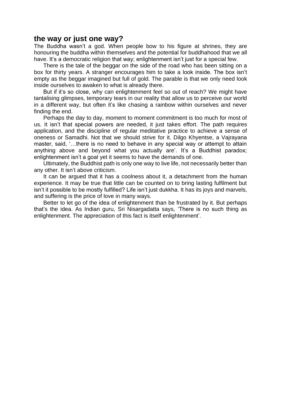## **the way or just one way?**

The Buddha wasn't a god. When people bow to his figure at shrines, they are honouring the buddha within themselves and the potential for buddhahood that we all have. It's a democratic religion that way; enlightenment isn't just for a special few.

There is the tale of the beggar on the side of the road who has been sitting on a box for thirty years. A stranger encourages him to take a look inside. The box isn't empty as the beggar imagined but full of gold. The parable is that we only need look inside ourselves to awaken to what is already there.

But if it's so close, why can enlightenment feel so out of reach? We might have tantalising glimpses, temporary tears in our reality that allow us to perceive our world in a different way, but often it's like chasing a rainbow within ourselves and never finding the end.

Perhaps the day to day, moment to moment commitment is too much for most of us. It isn't that special powers are needed, it just takes effort. The path requires application, and the discipline of regular meditative practice to achieve a sense of oneness or Samadhi. Not that we should strive for it. Dilgo Khyentse, a Vajrayana master, said, '…there is no need to behave in any special way or attempt to attain anything above and beyond what you actually are'. It's a Buddhist paradox; enlightenment isn't a goal yet it seems to have the demands of one.

Ultimately, the Buddhist path is only one way to live life, not necessarily better than any other. It isn't above criticism.

It can be argued that it has a coolness about it, a detachment from the human experience. It may be true that little can be counted on to bring lasting fulfilment but isn't it possible to be mostly fulfilled? Life isn't just dukkha. It has its joys and marvels, and suffering is the price of love in many ways.

Better to let go of the idea of enlightenment than be frustrated by it. But perhaps that's the idea. As Indian guru, Sri Nisargadatta says, 'There is no such thing as enlightenment. The appreciation of this fact is itself enlightenment'.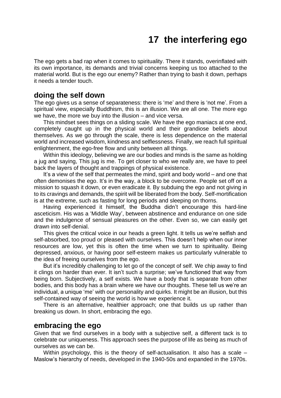# **17 the interfering ego**

<span id="page-54-0"></span>The ego gets a bad rap when it comes to spirituality. There it stands, overinflated with its own importance, its demands and trivial concerns keeping us too attached to the material world. But is the ego our enemy? Rather than trying to bash it down, perhaps it needs a tender touch.

### **doing the self down**

The ego gives us a sense of separateness: there is 'me' and there is 'not me'. From a spiritual view, especially Buddhism, this is an illusion. We are all one. The more ego we have, the more we buy into the illusion – and vice versa.

This mindset sees things on a sliding scale. We have the ego maniacs at one end, completely caught up in the physical world and their grandiose beliefs about themselves. As we go through the scale, there is less dependence on the material world and increased wisdom, kindness and selflessness. Finally, we reach full spiritual enlightenment, the ego-free flow and unity between all things.

Within this ideology, believing we are our bodies and minds is the same as holding a jug and saying, This jug is me. To get closer to who we really are, we have to peel back the layers of thought and trappings of physical existence.

It's a view of the self that permeates the mind, spirit and body world – and one that often demonises the ego. It's in the way, a block to be overcome. People set off on a mission to squash it down, or even eradicate it. By subduing the ego and not giving in to its cravings and demands, the spirit will be liberated from the body. Self-mortification is at the extreme, such as fasting for long periods and sleeping on thorns.

Having experienced it himself, the Buddha didn't encourage this hard-line asceticism. His was a 'Middle Way', between abstinence and endurance on one side and the indulgence of sensual pleasures on the other. Even so, we can easily get drawn into self-denial.

This gives the critical voice in our heads a green light. It tells us we're selfish and self-absorbed, too proud or pleased with ourselves. This doesn't help when our inner resources are low, yet this is often the time when we turn to spirituality. Being depressed, anxious, or having poor self-esteem makes us particularly vulnerable to the idea of freeing ourselves from the ego.

But it's incredibly challenging to let go of the concept of self. We chip away to find it clings on harder than ever. It isn't such a surprise; we've functioned that way from being born. Subjectively, a self exists. We have a body that is separate from other bodies, and this body has a brain where we have our thoughts. These tell us we're an individual, a unique 'me' with our personality and quirks. It might be an illusion, but this self-contained way of seeing the world is how we experience it.

There is an alternative, healthier approach; one that builds us up rather than breaking us down. In short, embracing the ego.

#### **embracing the ego**

Given that we find ourselves in a body with a subjective self, a different tack is to celebrate our uniqueness. This approach sees the purpose of life as being as much of ourselves as we can be.

Within psychology, this is the theory of self-actualisation. It also has a scale -Maslow's hierarchy of needs, developed in the 1940-50s and expanded in the 1970s.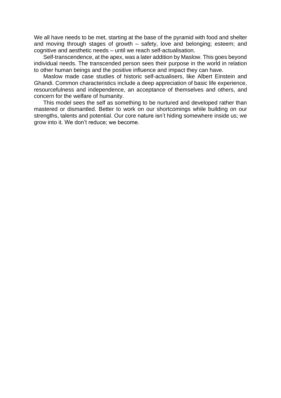We all have needs to be met, starting at the base of the pyramid with food and shelter and moving through stages of growth – safety, love and belonging; esteem; and cognitive and aesthetic needs – until we reach self-actualisation.

Self-transcendence, at the apex, was a later addition by Maslow. This goes beyond individual needs. The transcended person sees their purpose in the world in relation to other human beings and the positive influence and impact they can have.

Maslow made case studies of historic self-actualisers, like Albert Einstein and Ghandi. Common characteristics include a deep appreciation of basic life experience, resourcefulness and independence, an acceptance of themselves and others, and concern for the welfare of humanity.

This model sees the self as something to be nurtured and developed rather than mastered or dismantled. Better to work on our shortcomings while building on our strengths, talents and potential. Our core nature isn't hiding somewhere inside us; we grow into it. We don't reduce; we become.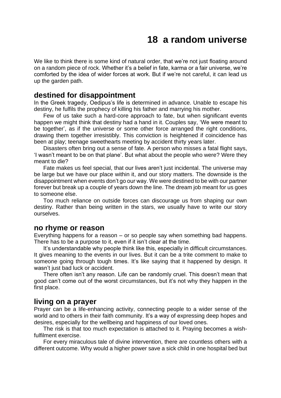# **18 a random universe**

<span id="page-56-0"></span>We like to think there is some kind of natural order, that we're not just floating around on a random piece of rock. Whether it's a belief in fate, karma or a fair universe, we're comforted by the idea of wider forces at work. But if we're not careful, it can lead us up the garden path.

### **destined for disappointment**

In the Greek tragedy, Oedipus's life is determined in advance. Unable to escape his destiny, he fulfils the prophecy of killing his father and marrying his mother.

Few of us take such a hard-core approach to fate, but when significant events happen we might think that destiny had a hand in it. Couples say, 'We were meant to be together', as if the universe or some other force arranged the right conditions, drawing them together irresistibly. This conviction is heightened if coincidence has been at play; teenage sweethearts meeting by accident thirty years later.

Disasters often bring out a sense of fate. A person who misses a fatal flight says, 'I wasn't meant to be on that plane'. But what about the people who were? Were they meant to die?

Fate makes us feel special, that our lives aren't just incidental. The universe may be large but we have our place within it, and our story matters. The downside is the disappointment when events don't go our way. We were destined to be with our partner forever but break up a couple of years down the line. The dream job meant for us goes to someone else.

Too much reliance on outside forces can discourage us from shaping our own destiny. Rather than being written in the stars, we usually have to write our story ourselves.

#### **no rhyme or reason**

Everything happens for a reason – or so people say when something bad happens. There has to be a purpose to it, even if it isn't clear at the time.

It's understandable why people think like this, especially in difficult circumstances. It gives meaning to the events in our lives. But it can be a trite comment to make to someone going through tough times. It's like saying that it happened by design. It wasn't just bad luck or accident.

There often isn't any reason. Life can be randomly cruel. This doesn't mean that good can't come out of the worst circumstances, but it's not why they happen in the first place.

#### **living on a prayer**

Prayer can be a life-enhancing activity, connecting people to a wider sense of the world and to others in their faith community. It's a way of expressing deep hopes and desires, especially for the wellbeing and happiness of our loved ones.

The risk is that too much expectation is attached to it. Praying becomes a wishfulfilment exercise.

For every miraculous tale of divine intervention, there are countless others with a different outcome. Why would a higher power save a sick child in one hospital bed but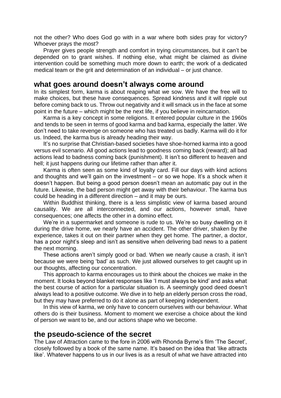not the other? Who does God go with in a war where both sides pray for victory? Whoever prays the most?

Prayer gives people strength and comfort in trying circumstances, but it can't be depended on to grant wishes. If nothing else, what might be claimed as divine intervention could be something much more down to earth; the work of a dedicated medical team or the grit and determination of an individual – or just chance.

#### **what goes around doesn't always come around**

In its simplest form, karma is about reaping what we sow. We have the free will to make choices, but these have consequences. Spread kindness and it will ripple out before coming back to us. Throw out negativity and it will smack us in the face at some point in the future – which might be the next life, if you believe in reincarnation.

Karma is a key concept in some religions. It entered popular culture in the 1960s and tends to be seen in terms of good karma and bad karma, especially the latter. We don't need to take revenge on someone who has treated us badly. Karma will do it for us. Indeed, the karma bus is already heading their way.

It's no surprise that Christian-based societies have shoe-horned karma into a good versus evil scenario. All good actions lead to goodness coming back (reward); all bad actions lead to badness coming back (punishment). It isn't so different to heaven and hell; it just happens during our lifetime rather than after it.

Karma is often seen as some kind of loyalty card. Fill our days with kind actions and thoughts and we'll gain on the investment – or so we hope. It's a shock when it doesn't happen. But being a good person doesn't mean an automatic pay out in the future. Likewise, the bad person might get away with their behaviour. The karma bus could be heading in a different direction – and it may be ours.

Within Buddhist thinking, there is a less simplistic view of karma based around causality. We are all interconnected, and our actions, however small, have consequences; one affects the other in a domino effect.

We're in a supermarket and someone is rude to us. We're so busy dwelling on it during the drive home, we nearly have an accident. The other driver, shaken by the experience, takes it out on their partner when they get home. The partner, a doctor, has a poor night's sleep and isn't as sensitive when delivering bad news to a patient the next morning.

These actions aren't simply good or bad. When we nearly cause a crash, it isn't because we were being 'bad' as such. We just allowed ourselves to get caught up in our thoughts, affecting our concentration.

This approach to karma encourages us to think about the choices we make in the moment. It looks beyond blanket responses like 'I must always be kind' and asks what the best course of action for a particular situation is. A seemingly good deed doesn't always lead to a positive outcome. We dive in to help an elderly person cross the road, but they may have preferred to do it alone as part of keeping independent.

In this view of karma, we only have to concern ourselves with our behaviour. What others do is their business. Moment to moment we exercise a choice about the kind of person we want to be, and our actions shape who we become.

#### **the pseudo-science of the secret**

The Law of Attraction came to the fore in 2006 with Rhonda Byrne's film 'The Secret', closely followed by a book of the same name. It's based on the idea that 'like attracts like'. Whatever happens to us in our lives is as a result of what we have attracted into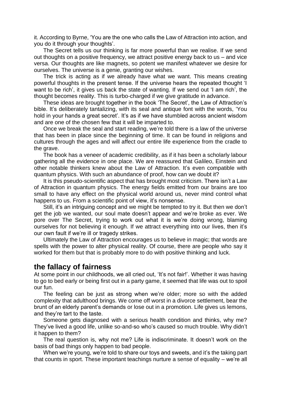it. According to Byrne, 'You are the one who calls the Law of Attraction into action, and you do it through your thoughts'.

The Secret tells us our thinking is far more powerful than we realise. If we send out thoughts on a positive frequency, we attract positive energy back to us – and vice versa. Our thoughts are like magnets, so potent we manifest whatever we desire for ourselves. The universe is a genie, granting our wishes.

The trick is acting as if we already have what we want. This means creating powerful thoughts in the present tense. If the universe hears the repeated thought 'I want to be rich', it gives us back the state of wanting. If we send out 'I am rich', the thought becomes reality. This is turbo-charged if we give gratitude in advance.

These ideas are brought together in the book 'The Secret', the Law of Attraction's bible. It's deliberately tantalizing, with its seal and antique font with the words, 'You hold in your hands a great secret'. It's as if we have stumbled across ancient wisdom and are one of the chosen few that it will be imparted to.

Once we break the seal and start reading, we're told there is a law of the universe that has been in place since the beginning of time. It can be found in religions and cultures through the ages and will affect our entire life experience from the cradle to the grave.

The book has a veneer of academic credibility, as if it has been a scholarly labour gathering all the evidence in one place. We are reassured that Galileo, Einstein and other notable thinkers knew about the Law of Attraction. It's even compatible with quantum physics. With such an abundance of proof, how can we doubt it?

It is this pseudo-scientific aspect that has brought most criticism. There isn't a Law of Attraction in quantum physics. The energy fields emitted from our brains are too small to have any effect on the physical world around us, never mind control what happens to us. From a scientific point of view, it's nonsense.

Still, it's an intriguing concept and we might be tempted to try it. But then we don't get the job we wanted, our soul mate doesn't appear and we're broke as ever. We pore over The Secret, trying to work out what it is we're doing wrong, blaming ourselves for not believing it enough. If we attract everything into our lives, then it's our own fault if we're ill or tragedy strikes.

Ultimately the Law of Attraction encourages us to believe in magic; that words are spells with the power to alter physical reality. Of course, there are people who say it worked for them but that is probably more to do with positive thinking and luck.

## **the fallacy of fairness**

At some point in our childhoods, we all cried out, 'It's not fair!'. Whether it was having to go to bed early or being first out in a party game, it seemed that life was out to spoil our fun.

The feeling can be just as strong when we're older; more so with the added complexity that adulthood brings. We come off worst in a divorce settlement, bear the brunt of an elderly parent's demands or lose out in a promotion. Life gives us lemons, and they're tart to the taste.

Someone gets diagnosed with a serious health condition and thinks, why me? They've lived a good life, unlike so-and-so who's caused so much trouble. Why didn't it happen to them?

The real question is, why not me? Life is indiscriminate. It doesn't work on the basis of bad things only happen to bad people.

When we're young, we're told to share our toys and sweets, and it's the taking part that counts in sport. These important teachings nurture a sense of equality – we're all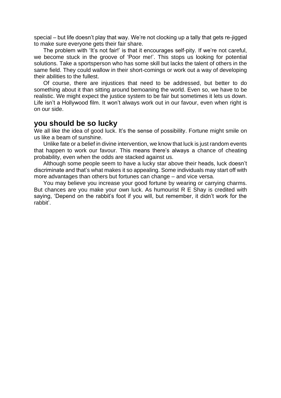special – but life doesn't play that way. We're not clocking up a tally that gets re-jigged to make sure everyone gets their fair share.

The problem with 'It's not fair!' is that it encourages self-pity. If we're not careful, we become stuck in the groove of 'Poor me!'. This stops us looking for potential solutions. Take a sportsperson who has some skill but lacks the talent of others in the same field. They could wallow in their short-comings or work out a way of developing their abilities to the fullest.

Of course, there are injustices that need to be addressed, but better to do something about it than sitting around bemoaning the world. Even so, we have to be realistic. We might expect the justice system to be fair but sometimes it lets us down. Life isn't a Hollywood film. It won't always work out in our favour, even when right is on our side.

## **you should be so lucky**

We all like the idea of good luck. It's the sense of possibility. Fortune might smile on us like a beam of sunshine.

Unlike fate or a belief in divine intervention, we know that luck is just random events that happen to work our favour. This means there's always a chance of cheating probability, even when the odds are stacked against us.

Although some people seem to have a lucky star above their heads, luck doesn't discriminate and that's what makes it so appealing. Some individuals may start off with more advantages than others but fortunes can change – and vice versa.

You may believe you increase your good fortune by wearing or carrying charms. But chances are you make your own luck. As humourist R E Shay is credited with saying, 'Depend on the rabbit's foot if you will, but remember, it didn't work for the rabbit'.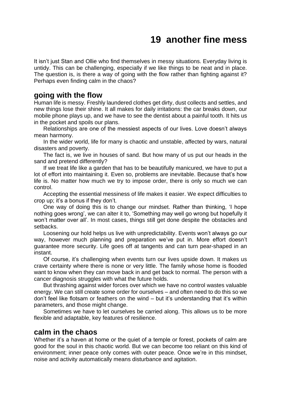# **19 another fine mess**

<span id="page-60-0"></span>It isn't just Stan and Ollie who find themselves in messy situations. Everyday living is untidy. This can be challenging, especially if we like things to be neat and in place. The question is, is there a way of going with the flow rather than fighting against it? Perhaps even finding calm in the chaos?

## **going with the flow**

Human life is messy. Freshly laundered clothes get dirty, dust collects and settles, and new things lose their shine. It all makes for daily irritations: the car breaks down, our mobile phone plays up, and we have to see the dentist about a painful tooth. It hits us in the pocket and spoils our plans.

Relationships are one of the messiest aspects of our lives. Love doesn't always mean harmony.

In the wider world, life for many is chaotic and unstable, affected by wars, natural disasters and poverty.

The fact is, we live in houses of sand. But how many of us put our heads in the sand and pretend differently?

If we treat life like a garden that has to be beautifully manicured, we have to put a lot of effort into maintaining it. Even so, problems are inevitable. Because that's how life is. No matter how much we try to impose order, there is only so much we can control.

Accepting the essential messiness of life makes it easier. We expect difficulties to crop up; it's a bonus if they don't.

One way of doing this is to change our mindset. Rather than thinking, 'I hope nothing goes wrong', we can alter it to, 'Something may well go wrong but hopefully it won't matter over all'. In most cases, things still get done despite the obstacles and setbacks.

Loosening our hold helps us live with unpredictability. Events won't always go our way, however much planning and preparation we've put in. More effort doesn't guarantee more security. Life goes off at tangents and can turn pear-shaped in an instant.

Of course, it's challenging when events turn our lives upside down. It makes us crave certainty where there is none or very little. The family whose home is flooded want to know when they can move back in and get back to normal. The person with a cancer diagnosis struggles with what the future holds.

But thrashing against wider forces over which we have no control wastes valuable energy. We can still create some order for ourselves – and often need to do this so we don't feel like flotsam or feathers on the wind – but it's understanding that it's within parameters, and those might change.

Sometimes we have to let ourselves be carried along. This allows us to be more flexible and adaptable, key features of resilience.

#### **calm in the chaos**

Whether it's a haven at home or the quiet of a temple or forest, pockets of calm are good for the soul in this chaotic world. But we can become too reliant on this kind of environment; inner peace only comes with outer peace. Once we're in this mindset, noise and activity automatically means disturbance and agitation.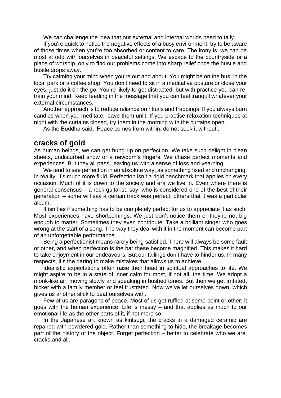We can challenge the idea that our external and internal worlds need to tally.

If you're quick to notice the negative effects of a busy environment, try to be aware of those times when you're too absorbed or content to care. The irony is, we can be most at odd with ourselves in peaceful settings. We escape to the countryside or a place of worship, only to find our problems come into sharp relief once the hustle and bustle drops away.

Try calming your mind when you're out and about. You might be on the bus, in the local park or a coffee shop. You don't need to sit in a meditative posture or close your eyes, just do it on the go. You're likely to get distracted, but with practice you can retrain your mind. Keep feeding in the message that you can feel tranquil whatever your external circumstances.

Another approach is to reduce reliance on rituals and trappings. If you always burn candles when you meditate, leave them unlit. If you practise relaxation techniques at night with the curtains closed, try them in the morning with the curtains open.

As the Buddha said, 'Peace comes from within, do not seek it without'.

### **cracks of gold**

As human beings, we can get hung up on perfection. We take such delight in clean sheets, undisturbed snow or a newborn's fingers. We chase perfect moments and experiences. But they all pass, leaving us with a sense of loss and yearning.

We tend to see perfection in an absolute way, as something fixed and unchanging. In reality, it's much more fluid. Perfection isn't a rigid benchmark that applies on every occasion. Much of it is down to the society and era we live in. Even where there is general consensus – a rock guitarist, say, who is considered one of the best of their generation – some will say a certain track was perfect, others that it was a particular album.

It isn't as if something has to be completely perfect for us to appreciate it as such. Most experiences have shortcomings. We just don't notice them or they're not big enough to matter. Sometimes they even contribute. Take a brilliant singer who goes wrong at the start of a song. The way they deal with it in the moment can become part of an unforgettable performance.

Being a perfectionist means rarely being satisfied. There will always be some fault or other, and when perfection is the bar these become magnified. This makes it hard to take enjoyment in our endeavours. But our failings don't have to hinder us. In many respects, it's the daring to make mistakes that allows us to achieve.

Idealistic expectations often raise their head in spiritual approaches to life. We might aspire to be in a state of inner calm for most, if not all, the time. We adopt a monk-like air, moving slowly and speaking in hushed tones. But then we get irritated, bicker with a family member or feel frustrated. Now we've let ourselves down, which gives us another stick to beat ourselves with.

Few of us are paragons of peace. Most of us get ruffled at some point or other; it goes with the human experience. Life is messy – and that applies as much to our emotional life as the other parts of it, if not more so.

In the Japanese art known as kintsugi, the cracks in a damaged ceramic are repaired with powdered gold. Rather than something to hide, the breakage becomes part of the history of the object. Forget perfection – better to celebrate who we are, cracks and all.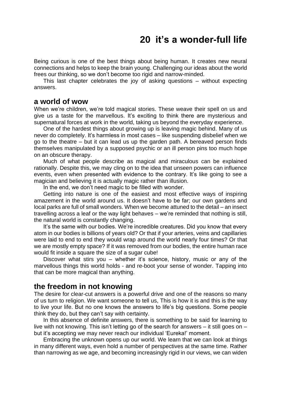# **20 it's a wonder-full life**

<span id="page-62-0"></span>Being curious is one of the best things about being human. It creates new neural connections and helps to keep the brain young. Challenging our ideas about the world frees our thinking, so we don't become too rigid and narrow-minded.

This last chapter celebrates the joy of asking questions – without expecting answers.

## **a world of wow**

When we're children, we're told magical stories. These weave their spell on us and give us a taste for the marvellous. It's exciting to think there are mysterious and supernatural forces at work in the world, taking us beyond the everyday experience.

One of the hardest things about growing up is leaving magic behind. Many of us never do completely. It's harmless in most cases – like suspending disbelief when we go to the theatre – but it can lead us up the garden path. A bereaved person finds themselves manipulated by a supposed psychic or an ill person pins too much hope on an obscure therapy.

Much of what people describe as magical and miraculous can be explained rationally. Despite this, we may cling on to the idea that unseen powers can influence events, even when presented with evidence to the contrary. It's like going to see a magician and believing it is actually magic rather than illusion.

In the end, we don't need magic to be filled with wonder.

Getting into nature is one of the easiest and most effective ways of inspiring amazement in the world around us. It doesn't have to be far; our own gardens and local parks are full of small wonders. When we become attuned to the detail – an insect travelling across a leaf or the way light behaves – we're reminded that nothing is still, the natural world is constantly changing.

It's the same with our bodies. We're incredible creatures. Did you know that every atom in our bodies is billions of years old? Or that if your arteries, veins and capillaries were laid to end to end they would wrap around the world nearly four times? Or that we are mostly empty space? If it was removed from our bodies, the entire human race would fit inside a square the size of a sugar cube!

Discover what stirs you – whether it's science, history, music or any of the marvellous things this world holds - and re-boot your sense of wonder. Tapping into that can be more magical than anything.

#### **the freedom in not knowing**

The desire for clear-cut answers is a powerful drive and one of the reasons so many of us turn to religion. We want someone to tell us, This is how it is and this is the way to live your life. But no one knows the answers to life's big questions. Some people think they do, but they can't say with certainty.

In this absence of definite answers, there is something to be said for learning to live with not knowing. This isn't letting go of the search for answers – it still goes on – but it's accepting we may never reach our individual 'Eureka!' moment.

Embracing the unknown opens up our world. We learn that we can look at things in many different ways, even hold a number of perspectives at the same time. Rather than narrowing as we age, and becoming increasingly rigid in our views, we can widen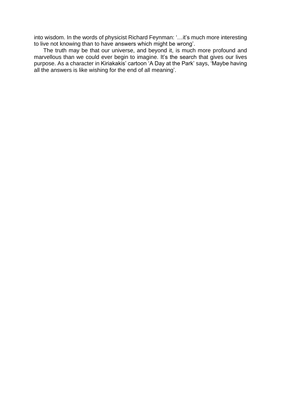into wisdom. In the words of physicist Richard Feynman: '…it's much more interesting to live not knowing than to have answers which might be wrong'.

The truth may be that our universe, and beyond it, is much more profound and marvellous than we could ever begin to imagine. It's the search that gives our lives purpose. As a character in Kiriakakis' cartoon 'A Day at the Park' says, 'Maybe having all the answers is like wishing for the end of all meaning'.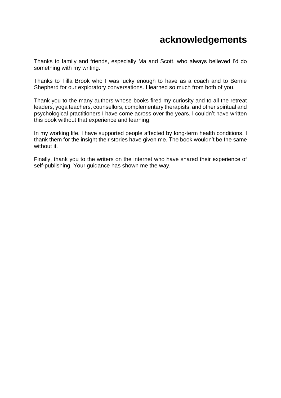# **acknowledgements**

<span id="page-64-0"></span>Thanks to family and friends, especially Ma and Scott, who always believed I'd do something with my writing.

Thanks to Tilla Brook who I was lucky enough to have as a coach and to Bernie Shepherd for our exploratory conversations. I learned so much from both of you.

Thank you to the many authors whose books fired my curiosity and to all the retreat leaders, yoga teachers, counsellors, complementary therapists, and other spiritual and psychological practitioners I have come across over the years. I couldn't have written this book without that experience and learning.

In my working life, I have supported people affected by long-term health conditions. I thank them for the insight their stories have given me. The book wouldn't be the same without it.

Finally, thank you to the writers on the internet who have shared their experience of self-publishing. Your guidance has shown me the way.